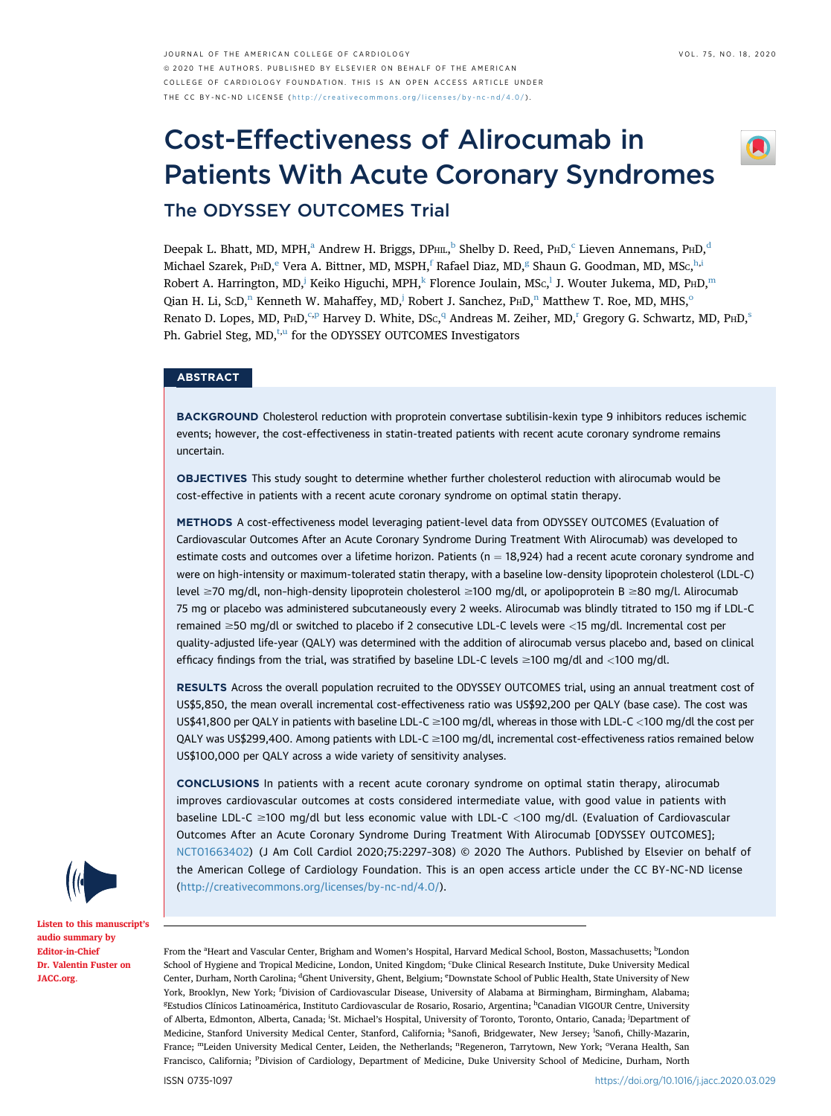JOURNAL OF THE AMERICAN COLLEGE OF CARDIOLOGY VOL. 75, NO. 18, 2020 ª 2020 THE AUTHORS. PUBLISHED BY ELSEVIER ON BEHALF OF THE AMERICAN COLLEGE OF CARDIOLOGY FOUNDATION. THIS IS AN OPEN ACCESS ARTICLE UNDER THE CC BY-NC-ND LICENSE ( http://creativecommons.o [rg/licenses/by-nc-nd/4.0/](http://creativecommons.org/licenses/by-nc-nd/4.0/) ) .

# Cost-Effectiveness of Alirocumab in Patients With Acute Coronary Syndromes The ODYSSEY OUTCOMES Trial



Deepak L. Bhatt, MD, MPH,<sup>a</sup> An[d](#page-0-2)rew H. Briggs, DP $_{\rm HIL}$ <sup>[b](#page-0-0)</sup> Shelby D. Reed, P $_{\rm HDI}$ <sup>[c](#page-0-1)</sup> Lieven Annemans, P $_{\rm HDI}$ <sup>d</sup> Micha[e](#page-0-2)l Szarek, P ${\tt HD}, {\tt e}'$  Vera A. B[i](#page-0-5)ttner, MD, MSPH, $^{\rm f}$  $^{\rm f}$  $^{\rm f}$  Rafael Diaz, MD, $^{\rm g}$  $^{\rm g}$  $^{\rm g}$  Shaun G. Goodman, MD, MSc, $^{\rm h,i}$  $^{\rm h,i}$  $^{\rm h,i}$ Robert A. Harrington, MD,<sup>[j](#page-0-5)</sup> Keiko Higuchi, MPH,<sup>k</sup> F[l](#page-0-6)orence Joulain, MSc,<sup>l</sup> J. Wouter Juke[m](#page-0-7)a, MD, P ${\tt HD,^m}$ Qia[n](#page-0-7) H. Li, ScD,<sup>n</sup> Kenneth W. Mahaffey, MD,<sup>[j](#page-0-5)</sup> R[o](#page-0-7)bert J. Sanchez, P $HD, n$  Matthew T. Roe, MD, MHS,<sup>o</sup> Renato D. Lopes, MD, PHD,<sup>[c](#page-0-1),[p](#page-0-8)</sup> Harvey D. White, DSc,<sup>[q](#page-0-8)</sup> And[r](#page-1-0)ea[s](#page-1-1) M. Zeiher, MD,<sup>r</sup> Gregory G. Schwartz, MD, PHD,<sup>s</sup> Ph. Gabriel Steg, MD,<s[u](#page-1-3)p>t,u</sup> for the ODYSSEY OUTCOMES Investigators

### **ABSTRACT**

BACKGROUND Cholesterol reduction with proprotein convertase subtilisin-kexin type 9 inhibitors reduces ischemic events; however, the cost-effectiveness in statin-treated patients with recent acute coronary syndrome remains uncertain.

OBJECTIVES This study sought to determine whether further cholesterol reduction with alirocumab would be cost-effective in patients with a recent acute coronary syndrome on optimal statin therapy.

METHODS A cost-effectiveness model leveraging patient-level data from ODYSSEY OUTCOMES (Evaluation of Cardiovascular Outcomes After an Acute Coronary Syndrome During Treatment With Alirocumab) was developed to estimate costs and outcomes over a lifetime horizon. Patients ( $n = 18,924$ ) had a recent acute coronary syndrome and were on high-intensity or maximum-tolerated statin therapy, with a baseline low-density lipoprotein cholesterol (LDL-C) level ≥70 mg/dl, non-high-density lipoprotein cholesterol ≥100 mg/dl, or apolipoprotein B ≥80 mg/l. Alirocumab 75 mg or placebo was administered subcutaneously every 2 weeks. Alirocumab was blindly titrated to 150 mg if LDL-C remained \$50 mg/dl or switched to placebo if 2 consecutive LDL-C levels were <15 mg/dl. Incremental cost per quality-adjusted life-year (QALY) was determined with the addition of alirocumab versus placebo and, based on clinical efficacy findings from the trial, was stratified by baseline LDL-C levels  $\geq$ 100 mg/dl and <100 mg/dl.

RESULTS Across the overall population recruited to the ODYSSEY OUTCOMES trial, using an annual treatment cost of US\$5,850, the mean overall incremental cost-effectiveness ratio was US\$92,200 per QALY (base case). The cost was US\$41,800 per QALY in patients with baseline LDL-C  $\geq$ 100 mg/dl, whereas in those with LDL-C <100 mg/dl the cost per QALY was US\$299,400. Among patients with LDL-C  $\geq$ 100 mg/dl, incremental cost-effectiveness ratios remained below US\$100,000 per QALY across a wide variety of sensitivity analyses.

CONCLUSIONS In patients with a recent acute coronary syndrome on optimal statin therapy, alirocumab improves cardiovascular outcomes at costs considered intermediate value, with good value in patients with baseline LDL-C ≥100 mg/dl but less economic value with LDL-C <100 mg/dl. (Evaluation of Cardiovascular Outcomes After an Acute Coronary Syndrome During Treatment With Alirocumab [ODYSSEY OUTCOMES]; [NCT01663402\)](https://clinicaltrials.gov/ct2/show/NCT01663402?term=NCT01663402&draw=2&rank=1) (J Am Coll Cardiol 2020;75:2297–308) © 2020 The Authors. Published by Elsevier on behalf of the American College of Cardiology Foundation. This is an open access article under the CC BY-NC-ND license [\(http://creativecommons.org/licenses/by-nc-nd/4.0/\)](http://creativecommons.org/licenses/by-nc-nd/4.0/).



[Listen to this manuscript](http://www.onlinejacc.org/podcasts)'s [audio summary by](http://www.onlinejacc.org/podcasts) [Editor-in-Chief](http://www.onlinejacc.org/podcasts) [Dr. Valentin Fuster on](http://www.onlinejacc.org/podcasts) [JACC.org](http://www.onlinejacc.org/).

<span id="page-0-8"></span><span id="page-0-7"></span><span id="page-0-6"></span><span id="page-0-5"></span><span id="page-0-4"></span><span id="page-0-3"></span><span id="page-0-2"></span><span id="page-0-1"></span><span id="page-0-0"></span>From the <sup>a</sup>Heart and Vascular Center, Brigham and Women's Hospital, Harvard Medical School, Boston, Massachusetts; <sup>b</sup>London School of Hygiene and Tropical Medicine, London, United Kingdom; 'Duke Clinical Research Institute, Duke University Medical Center, Durham, North Carolina; <sup>d</sup>Ghent University, Ghent, Belgium; <sup>e</sup>Downstate School of Public Health, State University of New York, Brooklyn, New York; <sup>f</sup> Division of Cardiovascular Disease, University of Alabama at Birmingham, Birmingham, Alabama; <sup>g</sup>Estudios Clínicos Latinoamérica, Instituto Cardiovascular de Rosario, Rosario, Argentina; <sup>h</sup>Canadian VIGOUR Centre, University of Alberta, Edmonton, Alberta, Canada; <sup>i</sup>St. Michael's Hospital, University of Toronto, Toronto, Ontario, Canada; <sup>i</sup>Department of Medicine, Stanford University Medical Center, Stanford, California; <sup>k</sup>Sanofi, Bridgewater, New Jersey; <sup>1</sup>Sanofi, Chilly-Mazarin, France; <sup>m</sup>Leiden University Medical Center, Leiden, the Netherlands; <sup>n</sup>Regeneron, Tarrytown, New York; <sup>o</sup>Verana Health, San Francisco, California; <sup>p</sup>Division of Cardiology, Department of Medicine, Duke University School of Medicine, Durham, North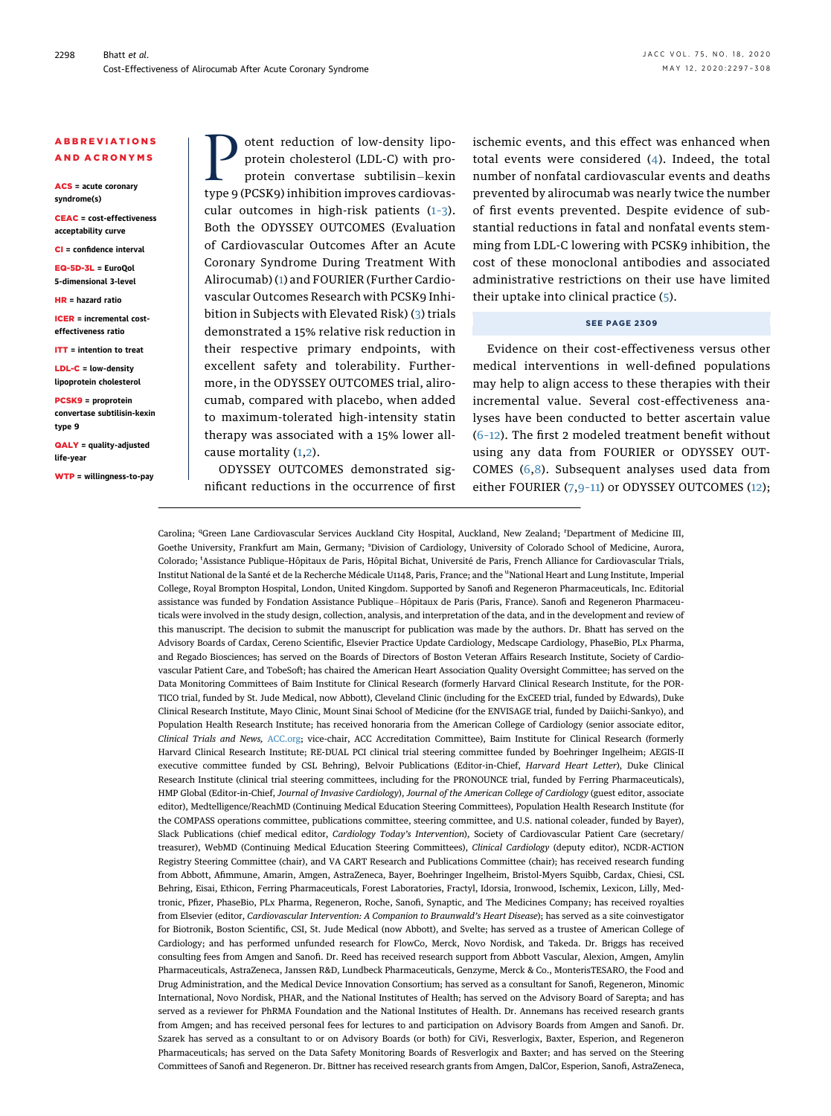#### ABBREVIATIONS AND ACRONYMS

ACS = acute coronary syndrome(s)

CEAC = cost-effectiveness acceptability curve

CI = confidence interval

EQ-5D-3L = EuroQol 5-dimensional 3-level

HR = hazard ratio

ICER = incremental costeffectiveness ratio

ITT = intention to treat

LDL-C = low-density lipoprotein cholesterol

PCSK9 = proprotein convertase subtilisin-kexin type 9

QALY = quality-adjusted life-year

WTP = willingness-to-pay

**P** otent reduction of low-density lipo-<br>protein cholesterol (LDL-C) with pro-<br>protein convertase subtilisin–kexin<br>type 9 (PCSK9) inhibition improves cardiovasprotein cholesterol (LDL-C) with proprotein convertase subtilisin-kexin type 9 (PCSK9) inhibition improves cardiovascular outcomes in high-risk patients (1–[3\)](#page-10-0). Both the ODYSSEY OUTCOMES (Evaluation of Cardiovascular Outcomes After an Acute Coronary Syndrome During Treatment With Alirocumab) [\(1\)](#page-10-0) and FOURIER (Further Cardiovascular Outcomes Research with PCSK9 Inhibition in Subjects with Elevated Risk) ([3](#page-10-1)) trials demonstrated a 15% relative risk reduction in their respective primary endpoints, with excellent safety and tolerability. Furthermore, in the ODYSSEY OUTCOMES trial, alirocumab, compared with placebo, when added to maximum-tolerated high-intensity statin therapy was associated with a 15% lower allcause mortality [\(1,](#page-10-0)[2\)](#page-10-2).

ODYSSEY OUTCOMES demonstrated significant reductions in the occurrence of first ischemic events, and this effect was enhanced when total events were considered ([4\)](#page-10-3). Indeed, the total number of nonfatal cardiovascular events and deaths prevented by alirocumab was nearly twice the number of first events prevented. Despite evidence of substantial reductions in fatal and nonfatal events stemming from LDL-C lowering with PCSK9 inhibition, the cost of these monoclonal antibodies and associated administrative restrictions on their use have limited their uptake into clinical practice ([5](#page-10-4)).

#### SEE PAGE 2309

Evidence on their cost-effectiveness versus other medical interventions in well-defined populations may help to align access to these therapies with their incremental value. Several cost-effectiveness analyses have been conducted to better ascertain value (6–[12](#page-10-5)). The first 2 modeled treatment benefit without using any data from FOURIER or ODYSSEY OUT-COMES [\(6](#page-10-5),[8\)](#page-10-6). Subsequent analyses used data from either FOURIER ([7](#page-10-7),9-[11\)](#page-10-8) or ODYSSEY OUTCOMES ([12\)](#page-10-9);

<span id="page-1-3"></span><span id="page-1-2"></span><span id="page-1-1"></span><span id="page-1-0"></span>Carolina; <sup>q</sup>Green Lane Cardiovascular Services Auckland City Hospital, Auckland, New Zealand; <sup>r</sup>Department of Medicine III, Goethe University, Frankfurt am Main, Germany; <sup>s</sup>Division of Cardiology, University of Colorado School of Medicine, Aurora, Colorado; <sup>t</sup>Assistance Publique-Hôpitaux de Paris, Hôpital Bichat, Université de Paris, French Alliance for Cardiovascular Trials, Institut National de la Santé et de la Recherche Médicale U1148, Paris, France; and the "National Heart and Lung Institute, Imperial College, Royal Brompton Hospital, London, United Kingdom. Supported by Sanofi and Regeneron Pharmaceuticals, Inc. Editorial assistance was funded by Fondation Assistance Publique-Hôpitaux de Paris (Paris, France). Sanofi and Regeneron Pharmaceuticals were involved in the study design, collection, analysis, and interpretation of the data, and in the development and review of this manuscript. The decision to submit the manuscript for publication was made by the authors. Dr. Bhatt has served on the Advisory Boards of Cardax, Cereno Scientific, Elsevier Practice Update Cardiology, Medscape Cardiology, PhaseBio, PLx Pharma, and Regado Biosciences; has served on the Boards of Directors of Boston Veteran Affairs Research Institute, Society of Cardiovascular Patient Care, and TobeSoft; has chaired the American Heart Association Quality Oversight Committee; has served on the Data Monitoring Committees of Baim Institute for Clinical Research (formerly Harvard Clinical Research Institute, for the POR-TICO trial, funded by St. Jude Medical, now Abbott), Cleveland Clinic (including for the ExCEED trial, funded by Edwards), Duke Clinical Research Institute, Mayo Clinic, Mount Sinai School of Medicine (for the ENVISAGE trial, funded by Daiichi-Sankyo), and Population Health Research Institute; has received honoraria from the American College of Cardiology (senior associate editor, Clinical Trials and News, [ACC.org;](http://ACC.org) vice-chair, ACC Accreditation Committee), Baim Institute for Clinical Research (formerly Harvard Clinical Research Institute; RE-DUAL PCI clinical trial steering committee funded by Boehringer Ingelheim; AEGIS-II executive committee funded by CSL Behring), Belvoir Publications (Editor-in-Chief, Harvard Heart Letter), Duke Clinical Research Institute (clinical trial steering committees, including for the PRONOUNCE trial, funded by Ferring Pharmaceuticals), HMP Global (Editor-in-Chief, Journal of Invasive Cardiology), Journal of the American College of Cardiology (guest editor, associate editor), Medtelligence/ReachMD (Continuing Medical Education Steering Committees), Population Health Research Institute (for the COMPASS operations committee, publications committee, steering committee, and U.S. national coleader, funded by Bayer), Slack Publications (chief medical editor, *Cardiology Today's Intervention*), Society of Cardiovascular Patient Care (secretary/ treasurer), WebMD (Continuing Medical Education Steering Committees), Clinical Cardiology (deputy editor), NCDR-ACTION Registry Steering Committee (chair), and VA CART Research and Publications Committee (chair); has received research funding from Abbott, Afimmune, Amarin, Amgen, AstraZeneca, Bayer, Boehringer Ingelheim, Bristol-Myers Squibb, Cardax, Chiesi, CSL Behring, Eisai, Ethicon, Ferring Pharmaceuticals, Forest Laboratories, Fractyl, Idorsia, Ironwood, Ischemix, Lexicon, Lilly, Medtronic, Pfizer, PhaseBio, PLx Pharma, Regeneron, Roche, Sanofi, Synaptic, and The Medicines Company; has received royalties from Elsevier (editor, Cardiovascular Intervention: A Companion to Braunwald's Heart Disease); has served as a site coinvestigator for Biotronik, Boston Scientific, CSI, St. Jude Medical (now Abbott), and Svelte; has served as a trustee of American College of Cardiology; and has performed unfunded research for FlowCo, Merck, Novo Nordisk, and Takeda. Dr. Briggs has received consulting fees from Amgen and Sanofi. Dr. Reed has received research support from Abbott Vascular, Alexion, Amgen, Amylin Pharmaceuticals, AstraZeneca, Janssen R&D, Lundbeck Pharmaceuticals, Genzyme, Merck & Co., MonterisTESARO, the Food and Drug Administration, and the Medical Device Innovation Consortium; has served as a consultant for Sanofi, Regeneron, Minomic International, Novo Nordisk, PHAR, and the National Institutes of Health; has served on the Advisory Board of Sarepta; and has served as a reviewer for PhRMA Foundation and the National Institutes of Health. Dr. Annemans has received research grants from Amgen; and has received personal fees for lectures to and participation on Advisory Boards from Amgen and Sanofi. Dr. Szarek has served as a consultant to or on Advisory Boards (or both) for CiVi, Resverlogix, Baxter, Esperion, and Regeneron Pharmaceuticals; has served on the Data Safety Monitoring Boards of Resverlogix and Baxter; and has served on the Steering Committees of Sanofi and Regeneron. Dr. Bittner has received research grants from Amgen, DalCor, Esperion, Sanofi, AstraZeneca,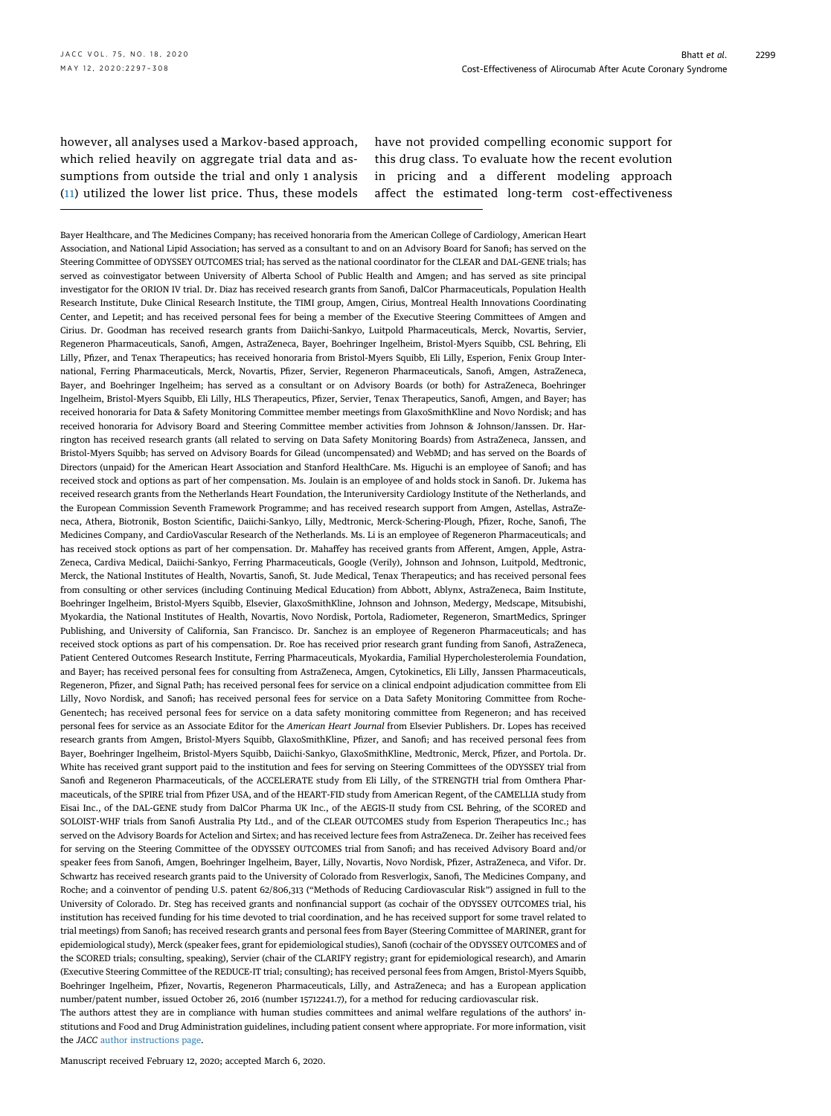however, all analyses used a Markov-based approach, which relied heavily on aggregate trial data and assumptions from outside the trial and only 1 analysis ([11\)](#page-10-10) utilized the lower list price. Thus, these models have not provided compelling economic support for this drug class. To evaluate how the recent evolution in pricing and a different modeling approach affect the estimated long-term cost-effectiveness

Bayer Healthcare, and The Medicines Company; has received honoraria from the American College of Cardiology, American Heart Association, and National Lipid Association; has served as a consultant to and on an Advisory Board for Sanofi; has served on the Steering Committee of ODYSSEY OUTCOMES trial; has served as the national coordinator for the CLEAR and DAL-GENE trials; has served as coinvestigator between University of Alberta School of Public Health and Amgen; and has served as site principal investigator for the ORION IV trial. Dr. Diaz has received research grants from Sanofi, DalCor Pharmaceuticals, Population Health Research Institute, Duke Clinical Research Institute, the TIMI group, Amgen, Cirius, Montreal Health Innovations Coordinating Center, and Lepetit; and has received personal fees for being a member of the Executive Steering Committees of Amgen and Cirius. Dr. Goodman has received research grants from Daiichi-Sankyo, Luitpold Pharmaceuticals, Merck, Novartis, Servier, Regeneron Pharmaceuticals, Sanofi, Amgen, AstraZeneca, Bayer, Boehringer Ingelheim, Bristol-Myers Squibb, CSL Behring, Eli Lilly, Pfizer, and Tenax Therapeutics; has received honoraria from Bristol-Myers Squibb, Eli Lilly, Esperion, Fenix Group International, Ferring Pharmaceuticals, Merck, Novartis, Pfizer, Servier, Regeneron Pharmaceuticals, Sanofi, Amgen, AstraZeneca, Bayer, and Boehringer Ingelheim; has served as a consultant or on Advisory Boards (or both) for AstraZeneca, Boehringer Ingelheim, Bristol-Myers Squibb, Eli Lilly, HLS Therapeutics, Pfizer, Servier, Tenax Therapeutics, Sanofi, Amgen, and Bayer; has received honoraria for Data & Safety Monitoring Committee member meetings from GlaxoSmithKline and Novo Nordisk; and has received honoraria for Advisory Board and Steering Committee member activities from Johnson & Johnson/Janssen. Dr. Harrington has received research grants (all related to serving on Data Safety Monitoring Boards) from AstraZeneca, Janssen, and Bristol-Myers Squibb; has served on Advisory Boards for Gilead (uncompensated) and WebMD; and has served on the Boards of Directors (unpaid) for the American Heart Association and Stanford HealthCare. Ms. Higuchi is an employee of Sanofi; and has received stock and options as part of her compensation. Ms. Joulain is an employee of and holds stock in Sanofi. Dr. Jukema has received research grants from the Netherlands Heart Foundation, the Interuniversity Cardiology Institute of the Netherlands, and the European Commission Seventh Framework Programme; and has received research support from Amgen, Astellas, AstraZeneca, Athera, Biotronik, Boston Scientific, Daiichi-Sankyo, Lilly, Medtronic, Merck-Schering-Plough, Pfizer, Roche, Sanofi, The Medicines Company, and CardioVascular Research of the Netherlands. Ms. Li is an employee of Regeneron Pharmaceuticals; and has received stock options as part of her compensation. Dr. Mahaffey has received grants from Afferent, Amgen, Apple, Astra-Zeneca, Cardiva Medical, Daiichi-Sankyo, Ferring Pharmaceuticals, Google (Verily), Johnson and Johnson, Luitpold, Medtronic, Merck, the National Institutes of Health, Novartis, Sanofi, St. Jude Medical, Tenax Therapeutics; and has received personal fees from consulting or other services (including Continuing Medical Education) from Abbott, Ablynx, AstraZeneca, Baim Institute, Boehringer Ingelheim, Bristol-Myers Squibb, Elsevier, GlaxoSmithKline, Johnson and Johnson, Medergy, Medscape, Mitsubishi, Myokardia, the National Institutes of Health, Novartis, Novo Nordisk, Portola, Radiometer, Regeneron, SmartMedics, Springer Publishing, and University of California, San Francisco. Dr. Sanchez is an employee of Regeneron Pharmaceuticals; and has received stock options as part of his compensation. Dr. Roe has received prior research grant funding from Sanofi, AstraZeneca, Patient Centered Outcomes Research Institute, Ferring Pharmaceuticals, Myokardia, Familial Hypercholesterolemia Foundation, and Bayer; has received personal fees for consulting from AstraZeneca, Amgen, Cytokinetics, Eli Lilly, Janssen Pharmaceuticals, Regeneron, Pfizer, and Signal Path; has received personal fees for service on a clinical endpoint adjudication committee from Eli Lilly, Novo Nordisk, and Sanofi; has received personal fees for service on a Data Safety Monitoring Committee from Roche-Genentech; has received personal fees for service on a data safety monitoring committee from Regeneron; and has received personal fees for service as an Associate Editor for the American Heart Journal from Elsevier Publishers. Dr. Lopes has received research grants from Amgen, Bristol-Myers Squibb, GlaxoSmithKline, Pfizer, and Sanofi; and has received personal fees from Bayer, Boehringer Ingelheim, Bristol-Myers Squibb, Daiichi-Sankyo, GlaxoSmithKline, Medtronic, Merck, Pfizer, and Portola. Dr. White has received grant support paid to the institution and fees for serving on Steering Committees of the ODYSSEY trial from Sanofi and Regeneron Pharmaceuticals, of the ACCELERATE study from Eli Lilly, of the STRENGTH trial from Omthera Pharmaceuticals, of the SPIRE trial from Pfizer USA, and of the HEART-FID study from American Regent, of the CAMELLIA study from Eisai Inc., of the DAL-GENE study from DalCor Pharma UK Inc., of the AEGIS-II study from CSL Behring, of the SCORED and SOLOIST-WHF trials from Sanofi Australia Pty Ltd., and of the CLEAR OUTCOMES study from Esperion Therapeutics Inc.; has served on the Advisory Boards for Actelion and Sirtex; and has received lecture fees from AstraZeneca. Dr. Zeiher has received fees for serving on the Steering Committee of the ODYSSEY OUTCOMES trial from Sanofi; and has received Advisory Board and/or speaker fees from Sanofi, Amgen, Boehringer Ingelheim, Bayer, Lilly, Novartis, Novo Nordisk, Pfizer, AstraZeneca, and Vifor. Dr. Schwartz has received research grants paid to the University of Colorado from Resverlogix, Sanofi, The Medicines Company, and Roche; and a coinventor of pending U.S. patent 62/806,313 ("Methods of Reducing Cardiovascular Risk") assigned in full to the University of Colorado. Dr. Steg has received grants and nonfinancial support (as cochair of the ODYSSEY OUTCOMES trial, his institution has received funding for his time devoted to trial coordination, and he has received support for some travel related to trial meetings) from Sanofi; has received research grants and personal fees from Bayer (Steering Committee of MARINER, grant for epidemiological study), Merck (speaker fees, grant for epidemiological studies), Sanofi (cochair of the ODYSSEY OUTCOMES and of the SCORED trials; consulting, speaking), Servier (chair of the CLARIFY registry; grant for epidemiological research), and Amarin (Executive Steering Committee of the REDUCE-IT trial; consulting); has received personal fees from Amgen, Bristol-Myers Squibb, Boehringer Ingelheim, Pfizer, Novartis, Regeneron Pharmaceuticals, Lilly, and AstraZeneca; and has a European application number/patent number, issued October 26, 2016 (number 15712241.7), for a method for reducing cardiovascular risk. The authors attest they are in compliance with human studies committees and animal welfare regulations of the authors' in-

stitutions and Food and Drug Administration guidelines, including patient consent where appropriate. For more information, visit the JACC [author instructions page](http://www.onlinejacc.org/content/instructions-authors).

Manuscript received February 12, 2020; accepted March 6, 2020.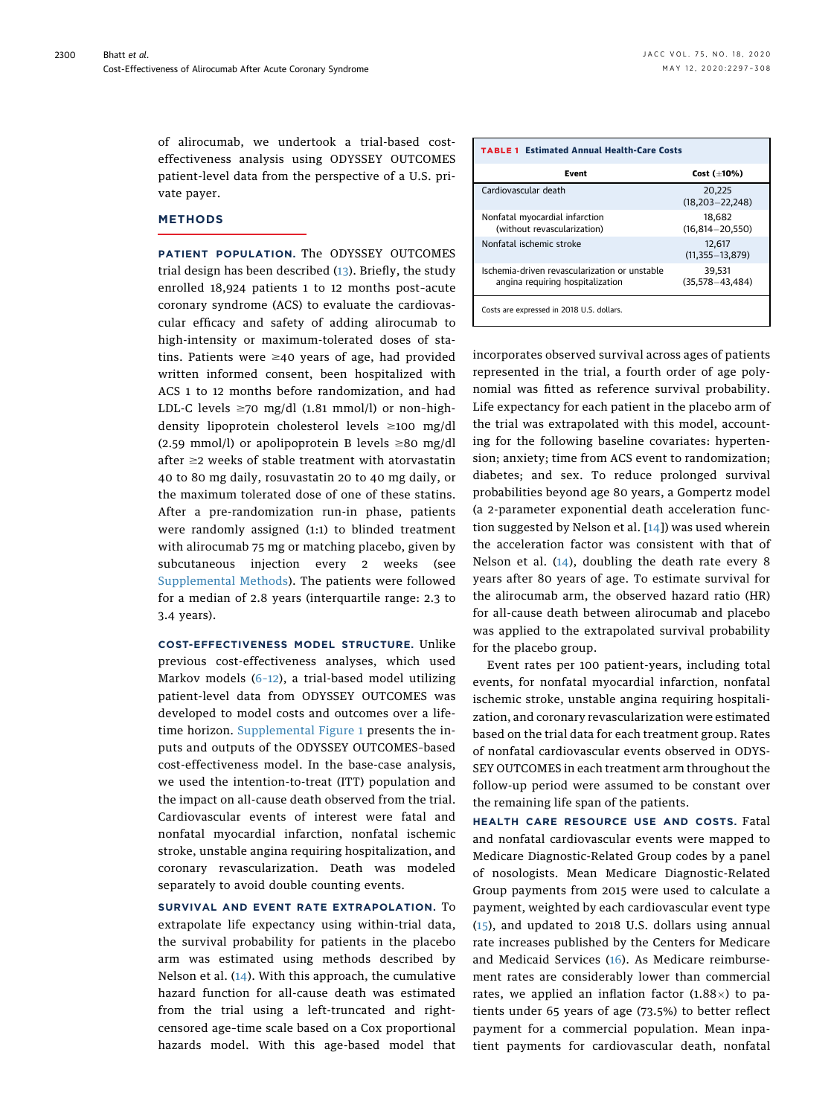of alirocumab, we undertook a trial-based costeffectiveness analysis using ODYSSEY OUTCOMES patient-level data from the perspective of a U.S. private payer.

# **METHODS**

PATIENT POPULATION. The ODYSSEY OUTCOMES trial design has been described ([13\)](#page-10-11). Briefly, the study enrolled 18,924 patients 1 to 12 months post–acute coronary syndrome (ACS) to evaluate the cardiovascular efficacy and safety of adding alirocumab to high-intensity or maximum-tolerated doses of statins. Patients were  $\geq 40$  years of age, had provided written informed consent, been hospitalized with ACS 1 to 12 months before randomization, and had LDL-C levels  $\geq$ 70 mg/dl (1.81 mmol/l) or non-highdensity lipoprotein cholesterol levels  $\geq 100$  mg/dl (2.59 mmol/l) or apolipoprotein B levels  $\geq 80$  mg/dl after  $\geq$  weeks of stable treatment with atorvastatin 40 to 80 mg daily, rosuvastatin 20 to 40 mg daily, or the maximum tolerated dose of one of these statins. After a pre-randomization run-in phase, patients were randomly assigned (1:1) to blinded treatment with alirocumab 75 mg or matching placebo, given by subcutaneous injection every 2 weeks (see [Supplemental Methods\)](https://doi.org/10.1016/j.jacc.2020.03.029). The patients were followed for a median of 2.8 years (interquartile range: 2.3 to 3.4 years).

COST-EFFECTIVENESS MODEL STRUCTURE. Unlike previous cost-effectiveness analyses, which used Markov models (6–[12\)](#page-10-5), a trial-based model utilizing patient-level data from ODYSSEY OUTCOMES was developed to model costs and outcomes over a lifetime horizon. [Supplemental Figure 1](https://doi.org/10.1016/j.jacc.2020.03.029) presents the inputs and outputs of the ODYSSEY OUTCOMES–based cost-effectiveness model. In the base-case analysis, we used the intention-to-treat (ITT) population and the impact on all-cause death observed from the trial. Cardiovascular events of interest were fatal and nonfatal myocardial infarction, nonfatal ischemic stroke, unstable angina requiring hospitalization, and coronary revascularization. Death was modeled separately to avoid double counting events.

SURVIVAL AND EVENT RATE EXTRAPOLATION. To extrapolate life expectancy using within-trial data, the survival probability for patients in the placebo arm was estimated using methods described by Nelson et al. ([14\)](#page-10-12). With this approach, the cumulative hazard function for all-cause death was estimated from the trial using a left-truncated and rightcensored age–time scale based on a Cox proportional hazards model. With this age-based model that

<span id="page-3-0"></span>

| <b>TABLE 1 Estimated Annual Health-Care Costs</b>                                 |                                 |  |  |  |  |  |
|-----------------------------------------------------------------------------------|---------------------------------|--|--|--|--|--|
| Event                                                                             | Cost $(\pm 10\%)$               |  |  |  |  |  |
| Cardiovascular death                                                              | 20,225<br>$(18, 203 - 22, 248)$ |  |  |  |  |  |
| Nonfatal myocardial infarction<br>(without revascularization)                     | 18.682<br>$(16.814 - 20.550)$   |  |  |  |  |  |
| Nonfatal ischemic stroke                                                          | 12.617<br>$(11, 355 - 13, 879)$ |  |  |  |  |  |
| Ischemia-driven revascularization or unstable<br>angina reguiring hospitalization | 39,531<br>$(35,578 - 43,484)$   |  |  |  |  |  |
| Costs are expressed in 2018 U.S. dollars.                                         |                                 |  |  |  |  |  |

incorporates observed survival across ages of patients represented in the trial, a fourth order of age polynomial was fitted as reference survival probability. Life expectancy for each patient in the placebo arm of the trial was extrapolated with this model, accounting for the following baseline covariates: hypertension; anxiety; time from ACS event to randomization; diabetes; and sex. To reduce prolonged survival probabilities beyond age 80 years, a Gompertz model (a 2-parameter exponential death acceleration function suggested by Nelson et al.  $[14]$  $[14]$  $[14]$ ) was used wherein the acceleration factor was consistent with that of Nelson et al.  $(14)$ , doubling the death rate every 8 years after 80 years of age. To estimate survival for the alirocumab arm, the observed hazard ratio (HR) for all-cause death between alirocumab and placebo was applied to the extrapolated survival probability for the placebo group.

Event rates per 100 patient-years, including total events, for nonfatal myocardial infarction, nonfatal ischemic stroke, unstable angina requiring hospitalization, and coronary revascularization were estimated based on the trial data for each treatment group. Rates of nonfatal cardiovascular events observed in ODYS-SEY OUTCOMES in each treatment arm throughout the follow-up period were assumed to be constant over the remaining life span of the patients.

HEALTH CARE RESOURCE USE AND COSTS. Fatal and nonfatal cardiovascular events were mapped to Medicare Diagnostic-Related Group codes by a panel of nosologists. Mean Medicare Diagnostic-Related Group payments from 2015 were used to calculate a payment, weighted by each cardiovascular event type ([15\)](#page-10-13), and updated to 2018 U.S. dollars using annual rate increases published by the Centers for Medicare and Medicaid Services ([16](#page-10-14)). As Medicare reimbursement rates are considerably lower than commercial rates, we applied an inflation factor  $(1.88\times)$  to patients under 65 years of age (73.5%) to better reflect payment for a commercial population. Mean inpatient payments for cardiovascular death, nonfatal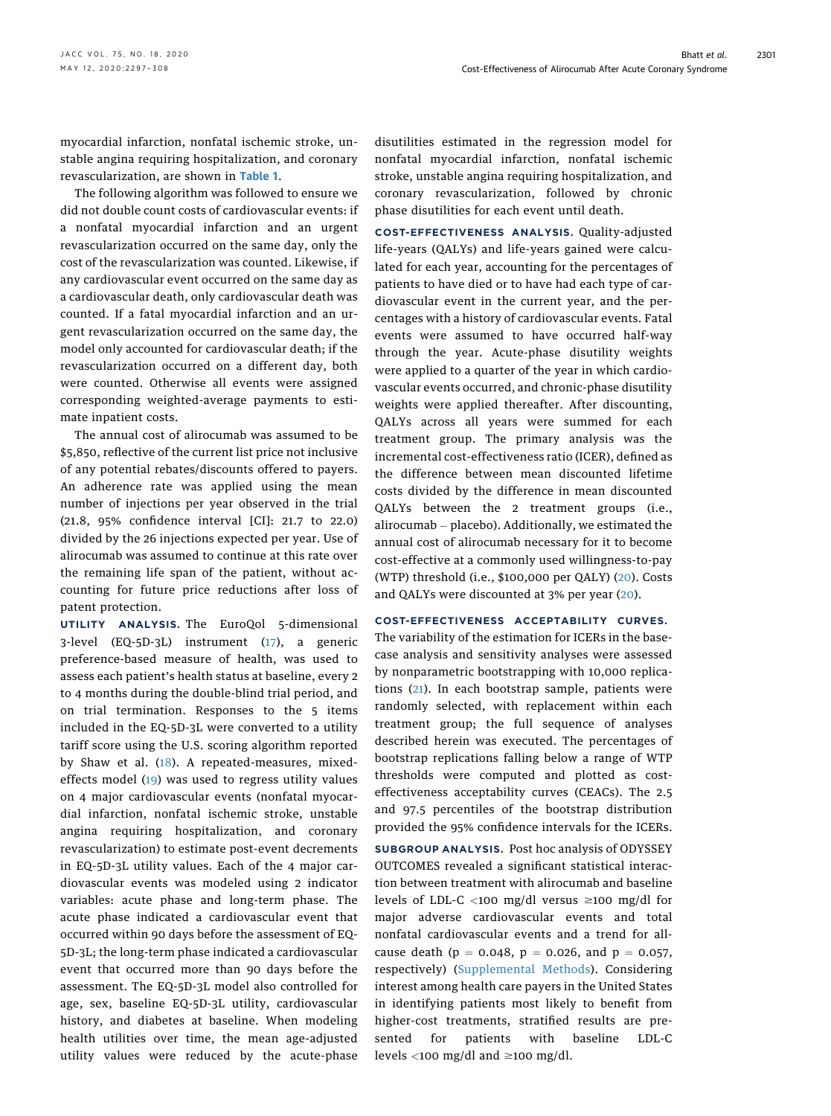myocardial infarction, nonfatal ischemic stroke, unstable angina requiring hospitalization, and coronary revascularization, are shown in [Table 1](#page-3-0).

The following algorithm was followed to ensure we did not double count costs of cardiovascular events: if a nonfatal myocardial infarction and an urgent revascularization occurred on the same day, only the cost of the revascularization was counted. Likewise, if any cardiovascular event occurred on the same day as a cardiovascular death, only cardiovascular death was counted. If a fatal myocardial infarction and an urgent revascularization occurred on the same day, the model only accounted for cardiovascular death; if the revascularization occurred on a different day, both were counted. Otherwise all events were assigned corresponding weighted-average payments to estimate inpatient costs.

The annual cost of alirocumab was assumed to be \$5,850, reflective of the current list price not inclusive of any potential rebates/discounts offered to payers. An adherence rate was applied using the mean number of injections per year observed in the trial (21.8, 95% confidence interval [CI]: 21.7 to 22.0) divided by the 26 injections expected per year. Use of alirocumab was assumed to continue at this rate over the remaining life span of the patient, without accounting for future price reductions after loss of patent protection.

UTILITY ANALYSIS. The EuroQol 5-dimensional 3-level (EQ-5D-3L) instrument ([17\)](#page-10-15), a generic preference-based measure of health, was used to assess each patient's health status at baseline, every 2 to 4 months during the double-blind trial period, and on trial termination. Responses to the 5 items included in the EQ-5D-3L were converted to a utility tariff score using the U.S. scoring algorithm reported by Shaw et al. ([18](#page-10-16)). A repeated-measures, mixedeffects model ([19](#page-10-17)) was used to regress utility values on 4 major cardiovascular events (nonfatal myocardial infarction, nonfatal ischemic stroke, unstable angina requiring hospitalization, and coronary revascularization) to estimate post-event decrements in EQ-5D-3L utility values. Each of the 4 major cardiovascular events was modeled using 2 indicator variables: acute phase and long-term phase. The acute phase indicated a cardiovascular event that occurred within 90 days before the assessment of EQ-5D-3L; the long-term phase indicated a cardiovascular event that occurred more than 90 days before the assessment. The EQ-5D-3L model also controlled for age, sex, baseline EQ-5D-3L utility, cardiovascular history, and diabetes at baseline. When modeling health utilities over time, the mean age-adjusted utility values were reduced by the acute-phase

disutilities estimated in the regression model for nonfatal myocardial infarction, nonfatal ischemic stroke, unstable angina requiring hospitalization, and coronary revascularization, followed by chronic phase disutilities for each event until death.

COST-EFFECTIVENESS ANALYSIS. Quality-adjusted life-years (QALYs) and life-years gained were calculated for each year, accounting for the percentages of patients to have died or to have had each type of cardiovascular event in the current year, and the percentages with a history of cardiovascular events. Fatal events were assumed to have occurred half-way through the year. Acute-phase disutility weights were applied to a quarter of the year in which cardiovascular events occurred, and chronic-phase disutility weights were applied thereafter. After discounting, QALYs across all years were summed for each treatment group. The primary analysis was the incremental cost-effectiveness ratio (ICER), defined as the difference between mean discounted lifetime costs divided by the difference in mean discounted QALYs between the 2 treatment groups (i.e., alirocumab - placebo). Additionally, we estimated the annual cost of alirocumab necessary for it to become cost-effective at a commonly used willingness-to-pay (WTP) threshold (i.e., \$100,000 per QALY) ([20\)](#page-10-18). Costs and QALYs were discounted at 3% per year [\(20\)](#page-10-18).

#### COST-EFFECTIVENESS ACCEPTABILITY CURVES.

The variability of the estimation for ICERs in the basecase analysis and sensitivity analyses were assessed by nonparametric bootstrapping with 10,000 replications ([21](#page-10-19)). In each bootstrap sample, patients were randomly selected, with replacement within each treatment group; the full sequence of analyses described herein was executed. The percentages of bootstrap replications falling below a range of WTP thresholds were computed and plotted as costeffectiveness acceptability curves (CEACs). The 2.5 and 97.5 percentiles of the bootstrap distribution provided the 95% confidence intervals for the ICERs.

SUBGROUP ANALYSIS. Post hoc analysis of ODYSSEY OUTCOMES revealed a significant statistical interaction between treatment with alirocumab and baseline levels of LDL-C <100 mg/dl versus  $\geq$ 100 mg/dl for major adverse cardiovascular events and total nonfatal cardiovascular events and a trend for allcause death ( $p = 0.048$ ,  $p = 0.026$ , and  $p = 0.057$ , respectively) ([Supplemental Methods\)](https://doi.org/10.1016/j.jacc.2020.03.029). Considering interest among health care payers in the United States in identifying patients most likely to benefit from higher-cost treatments, stratified results are presented for patients with baseline LDL-C levels  $\langle$ 100 mg/dl and  $\ge$ 100 mg/dl.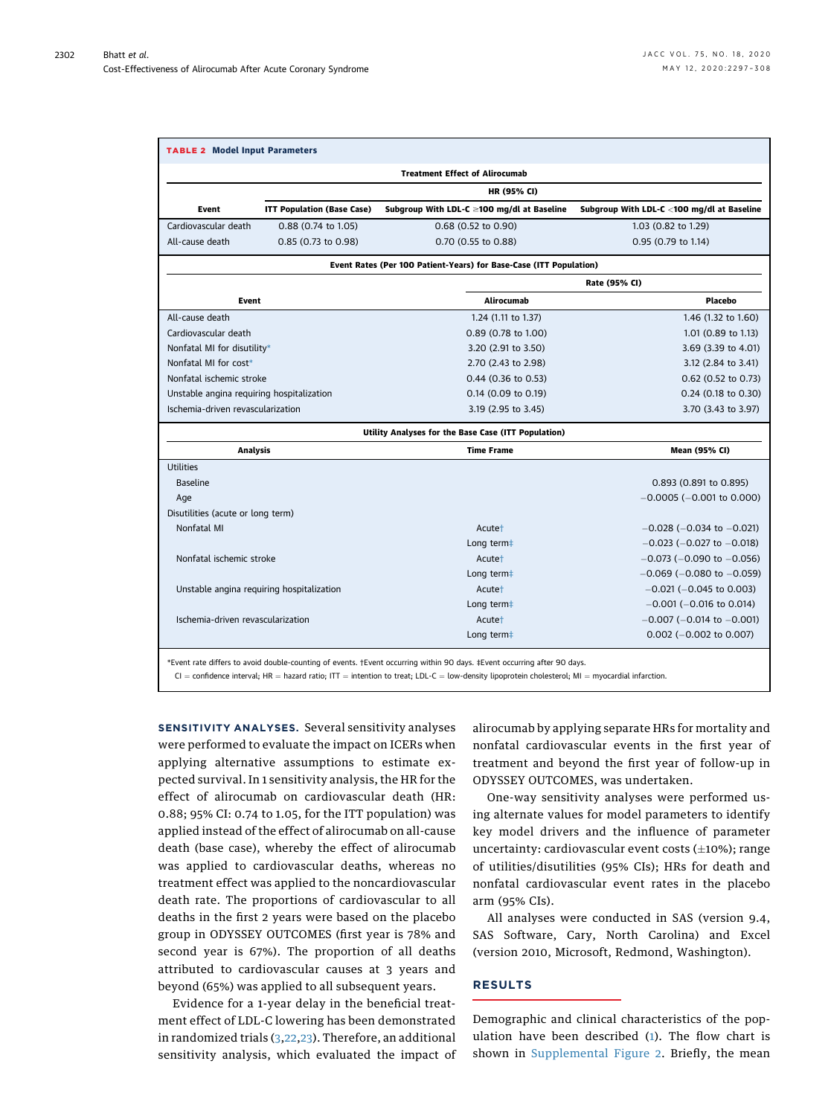<span id="page-5-1"></span>

| <b>TABLE 2 Model Input Parameters</b>                              |                                   |                                                     |                                            |  |  |  |  |  |  |
|--------------------------------------------------------------------|-----------------------------------|-----------------------------------------------------|--------------------------------------------|--|--|--|--|--|--|
| <b>Treatment Effect of Alirocumab</b>                              |                                   |                                                     |                                            |  |  |  |  |  |  |
|                                                                    | HR (95% CI)                       |                                                     |                                            |  |  |  |  |  |  |
| Event                                                              | <b>ITT Population (Base Case)</b> | Subgroup With LDL-C ≥100 mg/dl at Baseline          | Subgroup With LDL-C <100 mg/dl at Baseline |  |  |  |  |  |  |
| Cardiovascular death                                               | 0.88 (0.74 to 1.05)               | 0.68 (0.52 to 0.90)                                 | 1.03 (0.82 to 1.29)                        |  |  |  |  |  |  |
| All-cause death                                                    | 0.85 (0.73 to 0.98)               | 0.70 (0.55 to 0.88)                                 | 0.95 (0.79 to 1.14)                        |  |  |  |  |  |  |
| Event Rates (Per 100 Patient-Years) for Base-Case (ITT Population) |                                   |                                                     |                                            |  |  |  |  |  |  |
| Rate (95% CI)                                                      |                                   |                                                     |                                            |  |  |  |  |  |  |
| Event                                                              |                                   | <b>Alirocumab</b>                                   | Placebo                                    |  |  |  |  |  |  |
| All-cause death                                                    |                                   | 1.24 (1.11 to 1.37)                                 | 1.46 (1.32 to 1.60)                        |  |  |  |  |  |  |
| Cardiovascular death                                               |                                   | 0.89 (0.78 to 1.00)                                 | 1.01 (0.89 to 1.13)                        |  |  |  |  |  |  |
| Nonfatal MI for disutility*                                        |                                   | 3.20 (2.91 to 3.50)                                 | 3.69 (3.39 to 4.01)                        |  |  |  |  |  |  |
| Nonfatal MI for cost*                                              |                                   | 2.70 (2.43 to 2.98)                                 | 3.12 (2.84 to 3.41)                        |  |  |  |  |  |  |
| Nonfatal ischemic stroke                                           |                                   | 0.44 (0.36 to 0.53)                                 | 0.62 (0.52 to 0.73)                        |  |  |  |  |  |  |
| Unstable angina requiring hospitalization                          |                                   | 0.14 (0.09 to 0.19)                                 | 0.24 (0.18 to 0.30)                        |  |  |  |  |  |  |
| Ischemia-driven revascularization                                  |                                   | 3.19 (2.95 to 3.45)                                 | 3.70 (3.43 to 3.97)                        |  |  |  |  |  |  |
|                                                                    |                                   | Utility Analyses for the Base Case (ITT Population) |                                            |  |  |  |  |  |  |
| Analysis                                                           |                                   | <b>Time Frame</b>                                   | Mean (95% CI)                              |  |  |  |  |  |  |
| <b>Utilities</b>                                                   |                                   |                                                     |                                            |  |  |  |  |  |  |
| <b>Baseline</b>                                                    |                                   |                                                     | 0.893 (0.891 to 0.895)                     |  |  |  |  |  |  |
| Age                                                                |                                   |                                                     | $-0.0005$ ( $-0.001$ to 0.000)             |  |  |  |  |  |  |
| Disutilities (acute or long term)                                  |                                   |                                                     |                                            |  |  |  |  |  |  |
| Nonfatal MI                                                        |                                   | Acute <sup>+</sup>                                  | $-0.028$ ( $-0.034$ to $-0.021$ )          |  |  |  |  |  |  |
|                                                                    |                                   | Long term‡                                          | $-0.023$ ( $-0.027$ to $-0.018$ )          |  |  |  |  |  |  |
| Nonfatal ischemic stroke                                           |                                   | Acutet                                              | $-0.073$ ( $-0.090$ to $-0.056$ )          |  |  |  |  |  |  |
|                                                                    |                                   | Long term‡                                          | $-0.069$ ( $-0.080$ to $-0.059$ )          |  |  |  |  |  |  |
| Unstable angina requiring hospitalization                          |                                   | Acute <sup>+</sup>                                  | $-0.021$ ( $-0.045$ to 0.003)              |  |  |  |  |  |  |
|                                                                    |                                   | Long term‡                                          | $-0.001$ ( $-0.016$ to 0.014)              |  |  |  |  |  |  |
| Ischemia-driven revascularization                                  |                                   | Acute <sup>+</sup>                                  | $-0.007$ ( $-0.014$ to $-0.001$ )          |  |  |  |  |  |  |
|                                                                    |                                   | Long term‡                                          | $0.002$ (-0.002 to 0.007)                  |  |  |  |  |  |  |
|                                                                    |                                   |                                                     |                                            |  |  |  |  |  |  |

<span id="page-5-0"></span>\*Event rate differs to avoid double-counting of events. †Event occurring within 90 days. ‡Event occurring after 90 days.

 $CI = confidence$  interval; HR = hazard ratio; ITT = intention to treat; LDL-C = low-density lipoprotein cholesterol; MI = myocardial infarction.

SENSITIVITY ANALYSES. Several sensitivity analyses were performed to evaluate the impact on ICERs when applying alternative assumptions to estimate expected survival. In 1 sensitivity analysis, the HR for the effect of alirocumab on cardiovascular death (HR: 0.88; 95% CI: 0.74 to 1.05, for the ITT population) was applied instead of the effect of alirocumab on all-cause death (base case), whereby the effect of alirocumab was applied to cardiovascular deaths, whereas no treatment effect was applied to the noncardiovascular death rate. The proportions of cardiovascular to all deaths in the first 2 years were based on the placebo group in ODYSSEY OUTCOMES (first year is 78% and second year is 67%). The proportion of all deaths attributed to cardiovascular causes at 3 years and beyond (65%) was applied to all subsequent years.

Evidence for a 1-year delay in the beneficial treatment effect of LDL-C lowering has been demonstrated in randomized trials ([3](#page-10-1)[,22](#page-10-20)[,23\)](#page-10-21). Therefore, an additional sensitivity analysis, which evaluated the impact of alirocumab by applying separate HRs for mortality and nonfatal cardiovascular events in the first year of treatment and beyond the first year of follow-up in ODYSSEY OUTCOMES, was undertaken.

One-way sensitivity analyses were performed using alternate values for model parameters to identify key model drivers and the influence of parameter uncertainty: cardiovascular event costs  $(\pm 10\%)$ ; range of utilities/disutilities (95% CIs); HRs for death and nonfatal cardiovascular event rates in the placebo arm (95% CIs).

All analyses were conducted in SAS (version 9.4, SAS Software, Cary, North Carolina) and Excel (version 2010, Microsoft, Redmond, Washington).

# RESULTS

Demographic and clinical characteristics of the population have been described [\(1\)](#page-10-0). The flow chart is shown in [Supplemental Figure 2.](https://doi.org/10.1016/j.jacc.2020.03.029) Briefly, the mean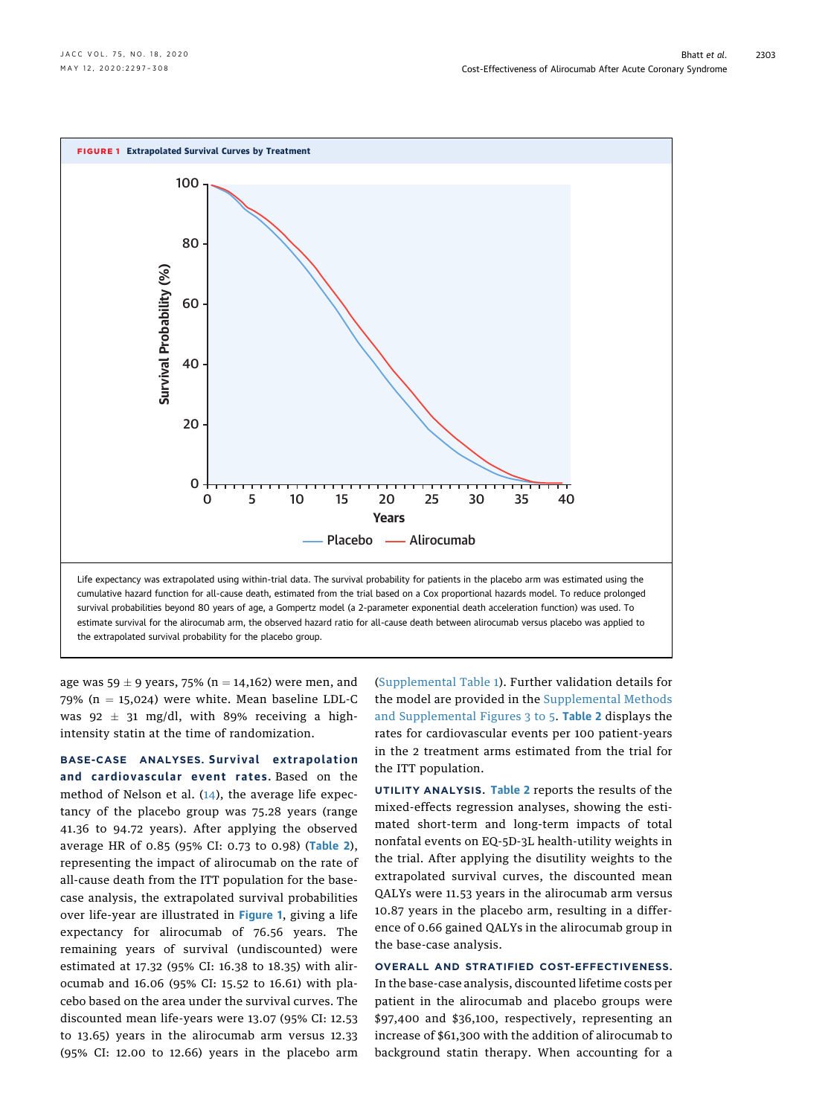<span id="page-6-0"></span>

age was 59  $\pm$  9 years, 75% (n = 14,162) were men, and 79% ( $n = 15,024$ ) were white. Mean baseline LDL-C was 92  $\pm$  31 mg/dl, with 89% receiving a highintensity statin at the time of randomization.

BASE-CASE ANALYSES. Survival extrapolation and cardiovascular event rates. Based on the method of Nelson et al. [\(14\)](#page-10-12), the average life expectancy of the placebo group was 75.28 years (range 41.36 to 94.72 years). After applying the observed average HR of 0.85 (95% CI: 0.73 to 0.98) ([Table 2](#page-5-1)), representing the impact of alirocumab on the rate of all-cause death from the ITT population for the basecase analysis, the extrapolated survival probabilities over life-year are illustrated in [Figure 1](#page-6-0), giving a life expectancy for alirocumab of 76.56 years. The remaining years of survival (undiscounted) were estimated at 17.32 (95% CI: 16.38 to 18.35) with alirocumab and 16.06 (95% CI: 15.52 to 16.61) with placebo based on the area under the survival curves. The discounted mean life-years were 13.07 (95% CI: 12.53 to 13.65) years in the alirocumab arm versus 12.33 (95% CI: 12.00 to 12.66) years in the placebo arm ([Supplemental Table 1](https://doi.org/10.1016/j.jacc.2020.03.029)). Further validation details for the model are provided in the [Supplemental Methods](https://doi.org/10.1016/j.jacc.2020.03.029) and [Supplemental Figures 3 to 5](https://doi.org/10.1016/j.jacc.2020.03.029). [Table 2](#page-5-1) displays the rates for cardiovascular events per 100 patient-years in the 2 treatment arms estimated from the trial for the ITT population.

UTILITY ANALYSIS. [Table 2](#page-5-1) reports the results of the mixed-effects regression analyses, showing the estimated short-term and long-term impacts of total nonfatal events on EQ-5D-3L health-utility weights in the trial. After applying the disutility weights to the extrapolated survival curves, the discounted mean QALYs were 11.53 years in the alirocumab arm versus 10.87 years in the placebo arm, resulting in a difference of 0.66 gained QALYs in the alirocumab group in the base-case analysis.

OVERALL AND STRATIFIED COST-EFFECTIVENESS.

In the base-case analysis, discounted lifetime costs per patient in the alirocumab and placebo groups were \$97,400 and \$36,100, respectively, representing an increase of \$61,300 with the addition of alirocumab to background statin therapy. When accounting for a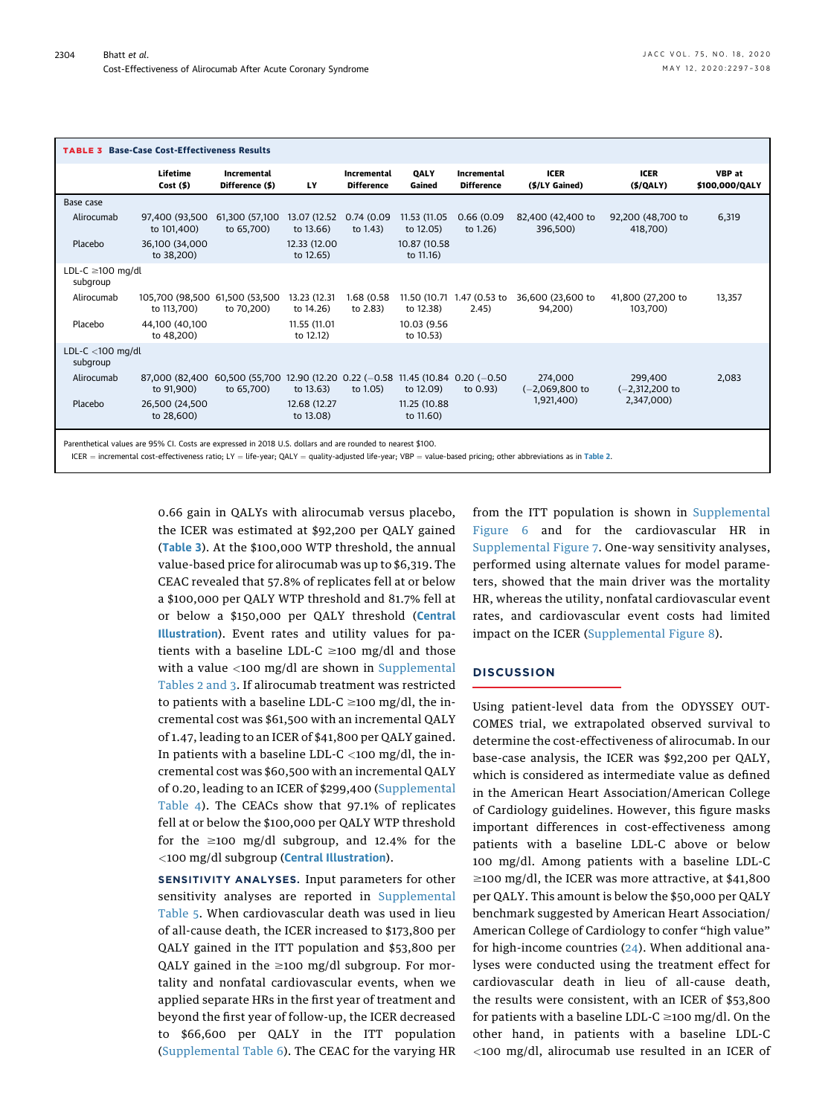<span id="page-7-0"></span>

| <b>TABLE 3 Base-Case Cost-Effectiveness Results</b>                                                                                                                                                                                                                          |                                                                                               |                                |                            |                                         |                            |                                  |                                                         |                               |                                 |
|------------------------------------------------------------------------------------------------------------------------------------------------------------------------------------------------------------------------------------------------------------------------------|-----------------------------------------------------------------------------------------------|--------------------------------|----------------------------|-----------------------------------------|----------------------------|----------------------------------|---------------------------------------------------------|-------------------------------|---------------------------------|
|                                                                                                                                                                                                                                                                              | Lifetime<br>Cost(5)                                                                           | Incremental<br>Difference (\$) | LY                         | <b>Incremental</b><br><b>Difference</b> | <b>OALY</b><br>Gained      | Incremental<br><b>Difference</b> | <b>ICER</b><br>(\$/LY Gained)                           | <b>ICER</b><br>(5/QALY)       | <b>VBP</b> at<br>\$100,000/QALY |
| Base case                                                                                                                                                                                                                                                                    |                                                                                               |                                |                            |                                         |                            |                                  |                                                         |                               |                                 |
| Alirocumab                                                                                                                                                                                                                                                                   | 97.400 (93.500<br>to 101,400)                                                                 | 61,300 (57,100<br>to 65,700)   | 13.07 (12.52)<br>to 13.66) | 0.74(0.09)<br>to 1.43)                  | 11.53 (11.05<br>to 12.05)  | 0.66(0.09)<br>to 1.26)           | 82,400 (42,400 to<br>396,500)                           | 92,200 (48,700 to<br>418,700) | 6,319                           |
| Placebo                                                                                                                                                                                                                                                                      | 36,100 (34,000<br>to 38,200)                                                                  |                                | 12.33 (12.00<br>to 12.65)  |                                         | 10.87 (10.58)<br>to 11.16) |                                  |                                                         |                               |                                 |
| LDL-C $\geq$ 100 mg/dl<br>subgroup                                                                                                                                                                                                                                           |                                                                                               |                                |                            |                                         |                            |                                  |                                                         |                               |                                 |
| Alirocumab                                                                                                                                                                                                                                                                   | 105,700 (98,500 61,500 (53,500<br>to 113,700)                                                 | to 70,200)                     | 13.23 (12.31<br>to 14.26)  | 1.68 (0.58<br>to 2.83)                  | to 12.38)                  | 2.45)                            | 11.50 (10.71 1.47 (0.53 to 36,600 (23,600 to<br>94,200) | 41,800 (27,200 to<br>103,700) | 13,357                          |
| Placebo                                                                                                                                                                                                                                                                      | 44,100 (40,100<br>to 48,200)                                                                  |                                | 11.55 (11.01<br>to 12.12)  |                                         | 10.03 (9.56<br>to 10.53)   |                                  |                                                         |                               |                                 |
| LDL-C < $100$ mg/dl<br>subgroup                                                                                                                                                                                                                                              |                                                                                               |                                |                            |                                         |                            |                                  |                                                         |                               |                                 |
| Alirocumab                                                                                                                                                                                                                                                                   | 87,000 (82,400 60,500 (55,700 12.90 (12.20 0.22 (-0.58 11.45 (10.84 0.20 (-0.50<br>to 91.900) | to 65.700)                     | to 13.63)                  | to 1.05)                                | to 12.09)                  | to 0.93)                         | 274.000<br>$(-2,069,800)$ to                            | 299,400<br>$(-2,312,200)$ to  | 2,083                           |
| Placebo                                                                                                                                                                                                                                                                      | 26,500 (24,500<br>to 28,600)                                                                  |                                | 12.68 (12.27<br>to 13.08)  |                                         | 11.25 (10.88)<br>to 11.60) |                                  | 1,921,400)                                              | 2,347,000)                    |                                 |
| Parenthetical values are 95% CI. Costs are expressed in 2018 U.S. dollars and are rounded to nearest \$100.<br>ICER = incremental cost-effectiveness ratio; LY = life-year; QALY = quality-adjusted life-year; VBP = value-based pricing; other abbreviations as in Table 2. |                                                                                               |                                |                            |                                         |                            |                                  |                                                         |                               |                                 |

0.66 gain in QALYs with alirocumab versus placebo, the ICER was estimated at \$92,200 per QALY gained ([Table 3](#page-7-0)). At the \$100,000 WTP threshold, the annual value-based price for alirocumab was up to \$6,319. The CEAC revealed that 57.8% of replicates fell at or below a \$100,000 per QALY WTP threshold and 81.7% fell at or below a \$150,000 per QALY threshold ([Central](#page-8-0) [Illustration](#page-8-0)). Event rates and utility values for patients with a baseline LDL-C  $\geq$ 100 mg/dl and those with a value  $\langle$ 100 mg/dl are shown in [Supplemental](https://doi.org/10.1016/j.jacc.2020.03.029) [Tables 2 and 3.](https://doi.org/10.1016/j.jacc.2020.03.029) If alirocumab treatment was restricted to patients with a baseline LDL-C  $\geq$ 100 mg/dl, the incremental cost was \$61,500 with an incremental QALY of 1.47, leading to an ICER of \$41,800 per QALY gained. In patients with a baseline LDL-C  $<$ 100 mg/dl, the incremental cost was \$60,500 with an incremental QALY of 0.20, leading to an ICER of \$299,400 ([Supplemental](https://doi.org/10.1016/j.jacc.2020.03.029) [Table 4\)](https://doi.org/10.1016/j.jacc.2020.03.029). The CEACs show that 97.1% of replicates fell at or below the \$100,000 per QALY WTP threshold for the  $\geq$ 100 mg/dl subgroup, and 12.4% for the <100 mg/dl subgroup ([Central Illustration](#page-8-0)).

SENSITIVITY ANALYSES. Input parameters for other sensitivity analyses are reported in [Supplemental](https://doi.org/10.1016/j.jacc.2020.03.029) [Table 5](https://doi.org/10.1016/j.jacc.2020.03.029). When cardiovascular death was used in lieu of all-cause death, the ICER increased to \$173,800 per QALY gained in the ITT population and \$53,800 per QALY gained in the  $\geq$ 100 mg/dl subgroup. For mortality and nonfatal cardiovascular events, when we applied separate HRs in the first year of treatment and beyond the first year of follow-up, the ICER decreased to \$66,600 per QALY in the ITT population ([Supplemental Table 6\)](https://doi.org/10.1016/j.jacc.2020.03.029). The CEAC for the varying HR from the ITT population is shown in [Supplemental](https://doi.org/10.1016/j.jacc.2020.03.029) [Figure 6](https://doi.org/10.1016/j.jacc.2020.03.029) and for the cardiovascular HR in [Supplemental Figure 7.](https://doi.org/10.1016/j.jacc.2020.03.029) One-way sensitivity analyses, performed using alternate values for model parameters, showed that the main driver was the mortality HR, whereas the utility, nonfatal cardiovascular event rates, and cardiovascular event costs had limited impact on the ICER ([Supplemental Figure 8](https://doi.org/10.1016/j.jacc.2020.03.029)).

## **DISCUSSION**

Using patient-level data from the ODYSSEY OUT-COMES trial, we extrapolated observed survival to determine the cost-effectiveness of alirocumab. In our base-case analysis, the ICER was \$92,200 per QALY, which is considered as intermediate value as defined in the American Heart Association/American College of Cardiology guidelines. However, this figure masks important differences in cost-effectiveness among patients with a baseline LDL-C above or below 100 mg/dl. Among patients with a baseline LDL-C  $\ge$ 100 mg/dl, the ICER was more attractive, at \$41,800 per QALY. This amount is below the \$50,000 per QALY benchmark suggested by American Heart Association/ American College of Cardiology to confer "high value" for high-income countries ([24\)](#page-10-22). When additional analyses were conducted using the treatment effect for cardiovascular death in lieu of all-cause death, the results were consistent, with an ICER of \$53,800 for patients with a baseline LDL-C  $\geq$ 100 mg/dl. On the other hand, in patients with a baseline LDL-C <100 mg/dl, alirocumab use resulted in an ICER of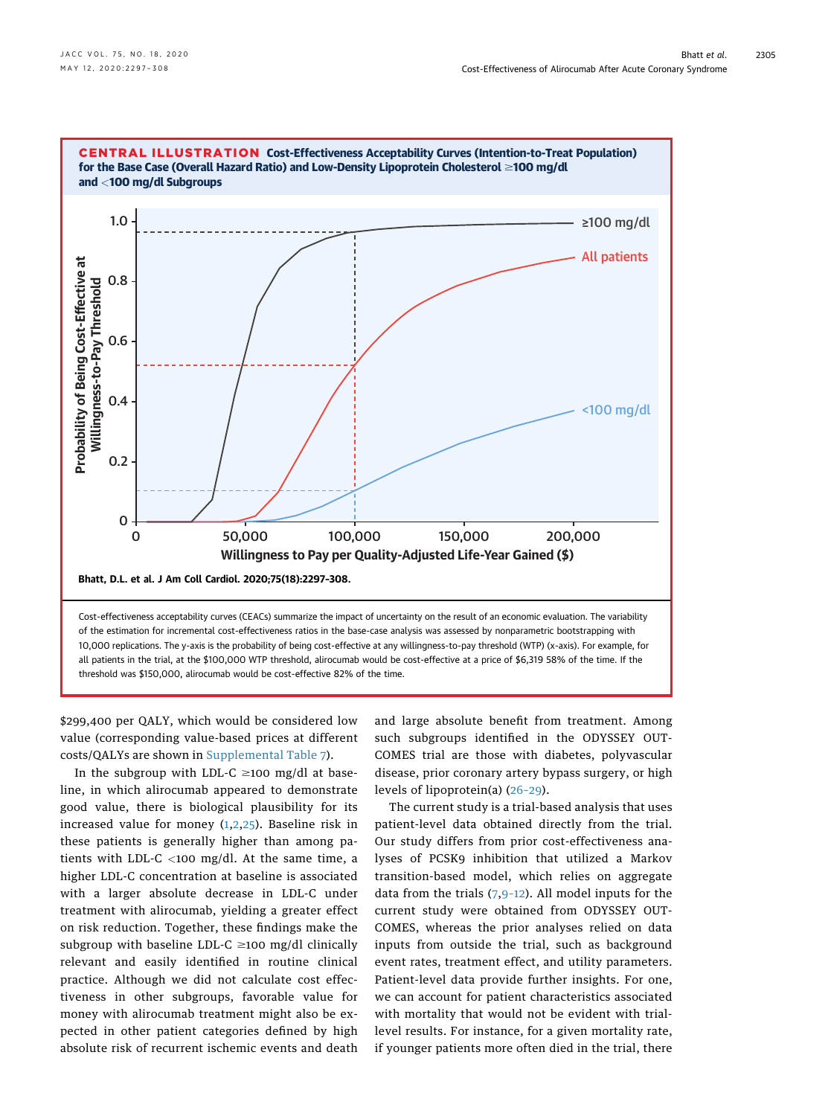<span id="page-8-0"></span>

threshold was \$150,000, alirocumab would be cost-effective 82% of the time.

\$299,400 per QALY, which would be considered low value (corresponding value-based prices at different costs/QALYs are shown in [Supplemental Table 7](https://doi.org/10.1016/j.jacc.2020.03.029)).

In the subgroup with LDL-C  $\geq$ 100 mg/dl at baseline, in which alirocumab appeared to demonstrate good value, there is biological plausibility for its increased value for money  $(1,2,25)$  $(1,2,25)$  $(1,2,25)$  $(1,2,25)$  $(1,2,25)$ . Baseline risk in these patients is generally higher than among patients with LDL-C <100 mg/dl. At the same time, a higher LDL-C concentration at baseline is associated with a larger absolute decrease in LDL-C under treatment with alirocumab, yielding a greater effect on risk reduction. Together, these findings make the subgroup with baseline LDL-C  $\geq$ 100 mg/dl clinically relevant and easily identified in routine clinical practice. Although we did not calculate cost effectiveness in other subgroups, favorable value for money with alirocumab treatment might also be expected in other patient categories defined by high absolute risk of recurrent ischemic events and death

and large absolute benefit from treatment. Among such subgroups identified in the ODYSSEY OUT-COMES trial are those with diabetes, polyvascular disease, prior coronary artery bypass surgery, or high levels of lipoprotein(a) (26–[29\)](#page-10-24).

The current study is a trial-based analysis that uses patient-level data obtained directly from the trial. Our study differs from prior cost-effectiveness analyses of PCSK9 inhibition that utilized a Markov transition-based model, which relies on aggregate data from the trials  $(7,9-12)$  $(7,9-12)$  $(7,9-12)$  $(7,9-12)$  $(7,9-12)$ . All model inputs for the current study were obtained from ODYSSEY OUT-COMES, whereas the prior analyses relied on data inputs from outside the trial, such as background event rates, treatment effect, and utility parameters. Patient-level data provide further insights. For one, we can account for patient characteristics associated with mortality that would not be evident with triallevel results. For instance, for a given mortality rate, if younger patients more often died in the trial, there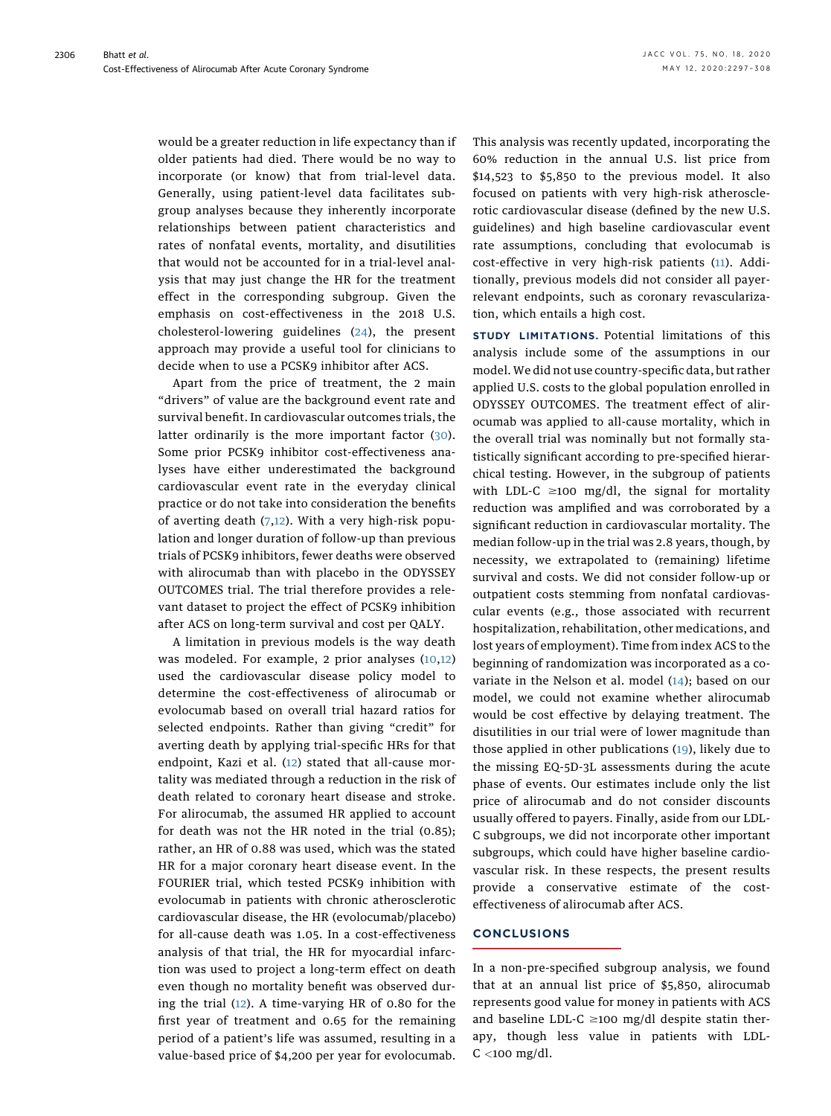would be a greater reduction in life expectancy than if older patients had died. There would be no way to incorporate (or know) that from trial-level data. Generally, using patient-level data facilitates subgroup analyses because they inherently incorporate relationships between patient characteristics and rates of nonfatal events, mortality, and disutilities that would not be accounted for in a trial-level analysis that may just change the HR for the treatment effect in the corresponding subgroup. Given the emphasis on cost-effectiveness in the 2018 U.S. cholesterol-lowering guidelines ([24](#page-10-22)), the present approach may provide a useful tool for clinicians to decide when to use a PCSK9 inhibitor after ACS.

Apart from the price of treatment, the 2 main "drivers" of value are the background event rate and survival benefit. In cardiovascular outcomes trials, the latter ordinarily is the more important factor [\(30\)](#page-11-0). Some prior PCSK9 inhibitor cost-effectiveness analyses have either underestimated the background cardiovascular event rate in the everyday clinical practice or do not take into consideration the benefits of averting death  $(7,12)$  $(7,12)$  $(7,12)$  $(7,12)$ . With a very high-risk population and longer duration of follow-up than previous trials of PCSK9 inhibitors, fewer deaths were observed with alirocumab than with placebo in the ODYSSEY OUTCOMES trial. The trial therefore provides a relevant dataset to project the effect of PCSK9 inhibition after ACS on long-term survival and cost per QALY.

A limitation in previous models is the way death was modeled. For example, 2 prior analyses [\(10,](#page-10-25)[12](#page-10-9)) used the cardiovascular disease policy model to determine the cost-effectiveness of alirocumab or evolocumab based on overall trial hazard ratios for selected endpoints. Rather than giving "credit" for averting death by applying trial-specific HRs for that endpoint, Kazi et al. ([12](#page-10-9)) stated that all-cause mortality was mediated through a reduction in the risk of death related to coronary heart disease and stroke. For alirocumab, the assumed HR applied to account for death was not the HR noted in the trial (0.85); rather, an HR of 0.88 was used, which was the stated HR for a major coronary heart disease event. In the FOURIER trial, which tested PCSK9 inhibition with evolocumab in patients with chronic atherosclerotic cardiovascular disease, the HR (evolocumab/placebo) for all-cause death was 1.05. In a cost-effectiveness analysis of that trial, the HR for myocardial infarction was used to project a long-term effect on death even though no mortality benefit was observed during the trial [\(12](#page-10-9)). A time-varying HR of 0.80 for the first year of treatment and 0.65 for the remaining period of a patient's life was assumed, resulting in a value-based price of \$4,200 per year for evolocumab.

This analysis was recently updated, incorporating the 60% reduction in the annual U.S. list price from \$14,523 to \$5,850 to the previous model. It also focused on patients with very high-risk atherosclerotic cardiovascular disease (defined by the new U.S. guidelines) and high baseline cardiovascular event rate assumptions, concluding that evolocumab is cost-effective in very high-risk patients ([11](#page-10-10)). Additionally, previous models did not consider all payerrelevant endpoints, such as coronary revascularization, which entails a high cost.

STUDY LIMITATIONS. Potential limitations of this analysis include some of the assumptions in our model. We did not use country-specific data, but rather applied U.S. costs to the global population enrolled in ODYSSEY OUTCOMES. The treatment effect of alirocumab was applied to all-cause mortality, which in the overall trial was nominally but not formally statistically significant according to pre-specified hierarchical testing. However, in the subgroup of patients with LDL-C  $\geq$ 100 mg/dl, the signal for mortality reduction was amplified and was corroborated by a significant reduction in cardiovascular mortality. The median follow-up in the trial was 2.8 years, though, by necessity, we extrapolated to (remaining) lifetime survival and costs. We did not consider follow-up or outpatient costs stemming from nonfatal cardiovascular events (e.g., those associated with recurrent hospitalization, rehabilitation, other medications, and lost years of employment). Time from index ACS to the beginning of randomization was incorporated as a covariate in the Nelson et al. model [\(14\)](#page-10-12); based on our model, we could not examine whether alirocumab would be cost effective by delaying treatment. The disutilities in our trial were of lower magnitude than those applied in other publications [\(19\)](#page-10-17), likely due to the missing EQ-5D-3L assessments during the acute phase of events. Our estimates include only the list price of alirocumab and do not consider discounts usually offered to payers. Finally, aside from our LDL-C subgroups, we did not incorporate other important subgroups, which could have higher baseline cardiovascular risk. In these respects, the present results provide a conservative estimate of the costeffectiveness of alirocumab after ACS.

# CONCLUSIONS

In a non-pre-specified subgroup analysis, we found that at an annual list price of \$5,850, alirocumab represents good value for money in patients with ACS and baseline LDL-C  $\geq$ 100 mg/dl despite statin therapy, though less value in patients with LDL- $C$  <100 mg/dl.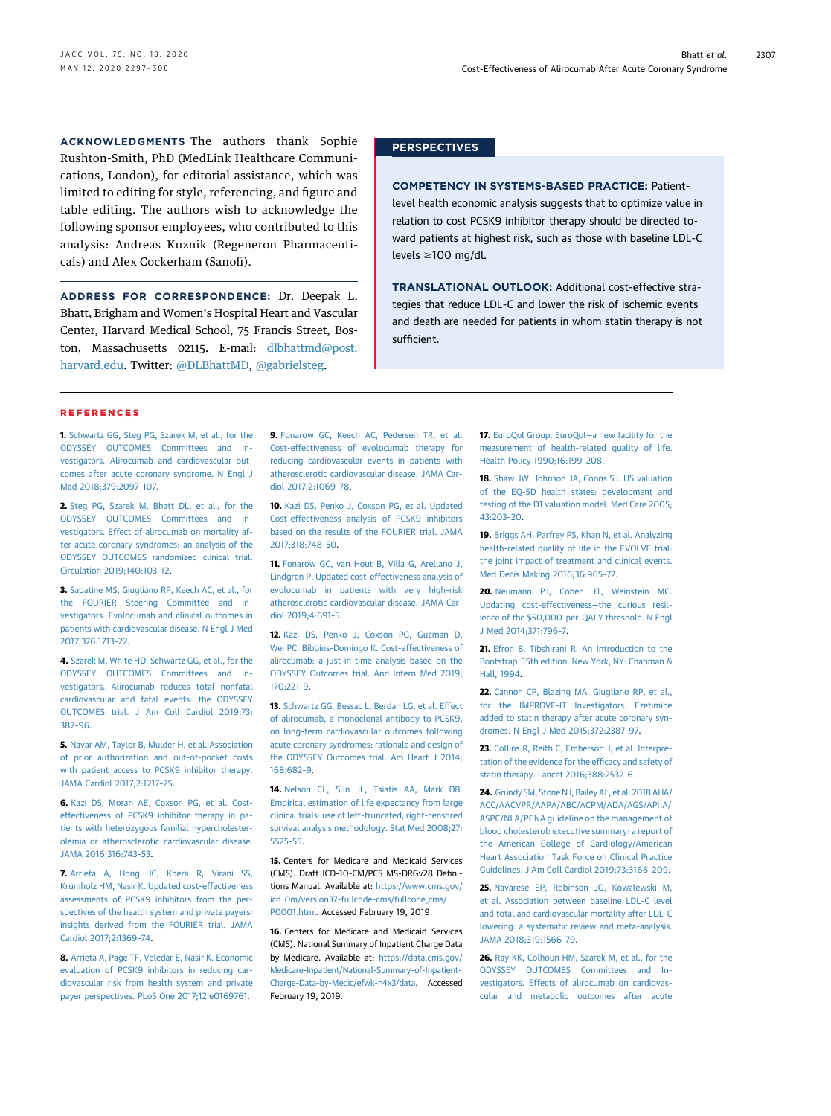ACKNOWLEDGMENTS The authors thank Sophie Rushton-Smith, PhD (MedLink Healthcare Communications, London), for editorial assistance, which was limited to editing for style, referencing, and figure and table editing. The authors wish to acknowledge the following sponsor employees, who contributed to this analysis: Andreas Kuznik (Regeneron Pharmaceuticals) and Alex Cockerham (Sanofi).

ADDRESS FOR CORRESPONDENCE: Dr. Deepak L. Bhatt, Brigham and Women's Hospital Heart and Vascular Center, Harvard Medical School, 75 Francis Street, Boston, Massachusetts 02115. E-mail: [dlbhattmd@post.](mailto:dlbhattmd@post.harvard.edu) [harvard.edu.](mailto:dlbhattmd@post.harvard.edu) Twitter: [@DLBhattMD,](https://twitter.com/DLBhattMD) [@gabrielsteg.](https://twitter.com/gabrielsteg)

## PERSPECTIVES

COMPETENCY IN SYSTEMS-BASED PRACTICE: Patientlevel health economic analysis suggests that to optimize value in relation to cost PCSK9 inhibitor therapy should be directed toward patients at highest risk, such as those with baseline LDL-C levels  $\geq$ 100 mg/dl.

TRANSLATIONAL OUTLOOK: Additional cost-effective strategies that reduce LDL-C and lower the risk of ischemic events and death are needed for patients in whom statin therapy is not sufficient.

#### REFERENCES

<span id="page-10-0"></span>1. [Schwartz GG, Steg PG, Szarek M, et al., for the](http://refhub.elsevier.com/S0735-1097(20)34635-0/sref1) [ODYSSEY OUTCOMES Committees and In](http://refhub.elsevier.com/S0735-1097(20)34635-0/sref1)[vestigators. Alirocumab and cardiovascular out](http://refhub.elsevier.com/S0735-1097(20)34635-0/sref1)[comes after acute coronary syndrome. N Engl J](http://refhub.elsevier.com/S0735-1097(20)34635-0/sref1) [Med 2018;379:2097](http://refhub.elsevier.com/S0735-1097(20)34635-0/sref1)–107.

<span id="page-10-2"></span>2. [Steg PG, Szarek M, Bhatt DL, et al., for the](http://refhub.elsevier.com/S0735-1097(20)34635-0/sref2) [ODYSSEY OUTCOMES Committees and In](http://refhub.elsevier.com/S0735-1097(20)34635-0/sref2)[vestigators. Effect of alirocumab on mortality af](http://refhub.elsevier.com/S0735-1097(20)34635-0/sref2)[ter acute coronary syndromes: an analysis of the](http://refhub.elsevier.com/S0735-1097(20)34635-0/sref2) [ODYSSEY OUTCOMES randomized clinical trial.](http://refhub.elsevier.com/S0735-1097(20)34635-0/sref2) [Circulation 2019;140:103](http://refhub.elsevier.com/S0735-1097(20)34635-0/sref2)–12.

<span id="page-10-1"></span>3. [Sabatine MS, Giugliano RP, Keech AC, et al., for](http://refhub.elsevier.com/S0735-1097(20)34635-0/sref3) [the FOURIER Steering Committee and In](http://refhub.elsevier.com/S0735-1097(20)34635-0/sref3)[vestigators. Evolocumab and clinical outcomes in](http://refhub.elsevier.com/S0735-1097(20)34635-0/sref3) [patients with cardiovascular disease. N Engl J Med](http://refhub.elsevier.com/S0735-1097(20)34635-0/sref3) [2017;376:1713](http://refhub.elsevier.com/S0735-1097(20)34635-0/sref3)–22.

<span id="page-10-3"></span>4. [Szarek M, White HD, Schwartz GG, et al., for the](http://refhub.elsevier.com/S0735-1097(20)34635-0/sref4) [ODYSSEY OUTCOMES Committees and In](http://refhub.elsevier.com/S0735-1097(20)34635-0/sref4)[vestigators. Alirocumab reduces total nonfatal](http://refhub.elsevier.com/S0735-1097(20)34635-0/sref4) [cardiovascular and fatal events: the ODYSSEY](http://refhub.elsevier.com/S0735-1097(20)34635-0/sref4) [OUTCOMES trial. J Am Coll Cardiol 2019;73:](http://refhub.elsevier.com/S0735-1097(20)34635-0/sref4) [387](http://refhub.elsevier.com/S0735-1097(20)34635-0/sref4)–96.

<span id="page-10-4"></span>5. [Navar AM, Taylor B, Mulder H, et al. Association](http://refhub.elsevier.com/S0735-1097(20)34635-0/sref5) [of prior authorization and out-of-pocket costs](http://refhub.elsevier.com/S0735-1097(20)34635-0/sref5) [with patient access to PCSK9 inhibitor therapy.](http://refhub.elsevier.com/S0735-1097(20)34635-0/sref5) [JAMA Cardiol 2017;2:1217](http://refhub.elsevier.com/S0735-1097(20)34635-0/sref5)–25.

<span id="page-10-5"></span>6. [Kazi DS, Moran AE, Coxson PG, et al. Cost](http://refhub.elsevier.com/S0735-1097(20)34635-0/sref6)[effectiveness of PCSK9 inhibitor therapy in pa](http://refhub.elsevier.com/S0735-1097(20)34635-0/sref6)[tients with heterozygous familial hypercholester](http://refhub.elsevier.com/S0735-1097(20)34635-0/sref6)[olemia or atherosclerotic cardiovascular disease.](http://refhub.elsevier.com/S0735-1097(20)34635-0/sref6) [JAMA 2016;316:743](http://refhub.elsevier.com/S0735-1097(20)34635-0/sref6)–53.

<span id="page-10-7"></span>7. [Arrieta A, Hong JC, Khera R, Virani SS,](http://refhub.elsevier.com/S0735-1097(20)34635-0/sref7) [Krumholz HM, Nasir K. Updated cost-effectiveness](http://refhub.elsevier.com/S0735-1097(20)34635-0/sref7) [assessments of PCSK9 inhibitors from the per](http://refhub.elsevier.com/S0735-1097(20)34635-0/sref7)[spectives of the health system and private payers:](http://refhub.elsevier.com/S0735-1097(20)34635-0/sref7) [insights derived from the FOURIER trial. JAMA](http://refhub.elsevier.com/S0735-1097(20)34635-0/sref7) [Cardiol 2017;2:1369](http://refhub.elsevier.com/S0735-1097(20)34635-0/sref7)–74.

<span id="page-10-6"></span>8. [Arrieta A, Page TF, Veledar E, Nasir K. Economic](http://refhub.elsevier.com/S0735-1097(20)34635-0/sref8) [evaluation of PCSK9 inhibitors in reducing car](http://refhub.elsevier.com/S0735-1097(20)34635-0/sref8)[diovascular risk from health system and private](http://refhub.elsevier.com/S0735-1097(20)34635-0/sref8) [payer perspectives. PLoS One 2017;12:e0169761](http://refhub.elsevier.com/S0735-1097(20)34635-0/sref8).

<span id="page-10-8"></span>9. [Fonarow GC, Keech AC, Pedersen TR, et al.](http://refhub.elsevier.com/S0735-1097(20)34635-0/sref9) [Cost-effectiveness of evolocumab therapy for](http://refhub.elsevier.com/S0735-1097(20)34635-0/sref9) [reducing cardiovascular events in patients with](http://refhub.elsevier.com/S0735-1097(20)34635-0/sref9) [atherosclerotic cardiovascular disease. JAMA Car](http://refhub.elsevier.com/S0735-1097(20)34635-0/sref9)[diol 2017;2:1069](http://refhub.elsevier.com/S0735-1097(20)34635-0/sref9)–78.

<span id="page-10-25"></span>10. [Kazi DS, Penko J, Coxson PG, et al. Updated](http://refhub.elsevier.com/S0735-1097(20)34635-0/sref10) [Cost-effectiveness analysis of PCSK9 inhibitors](http://refhub.elsevier.com/S0735-1097(20)34635-0/sref10) [based on the results of the FOURIER trial. JAMA](http://refhub.elsevier.com/S0735-1097(20)34635-0/sref10) [2017;318:748](http://refhub.elsevier.com/S0735-1097(20)34635-0/sref10)–50.

<span id="page-10-10"></span>11. [Fonarow GC, van Hout B, Villa G, Arellano J,](http://refhub.elsevier.com/S0735-1097(20)34635-0/sref11) [Lindgren P. Updated cost-effectiveness analysis of](http://refhub.elsevier.com/S0735-1097(20)34635-0/sref11) [evolocumab in patients with very high-risk](http://refhub.elsevier.com/S0735-1097(20)34635-0/sref11) [atherosclerotic cardiovascular disease. JAMA Car](http://refhub.elsevier.com/S0735-1097(20)34635-0/sref11)[diol 2019;4:691](http://refhub.elsevier.com/S0735-1097(20)34635-0/sref11)–5.

<span id="page-10-9"></span>12. [Kazi DS, Penko J, Coxson PG, Guzman D,](http://refhub.elsevier.com/S0735-1097(20)34635-0/sref12) [Wei PC, Bibbins-Domingo K. Cost-effectiveness of](http://refhub.elsevier.com/S0735-1097(20)34635-0/sref12) [alirocumab: a just-in-time analysis based on the](http://refhub.elsevier.com/S0735-1097(20)34635-0/sref12) [ODYSSEY Outcomes trial. Ann Intern Med 2019;](http://refhub.elsevier.com/S0735-1097(20)34635-0/sref12)  $170.221 - 9$ 

<span id="page-10-11"></span>13. [Schwartz GG, Bessac L, Berdan LG, et al. Effect](http://refhub.elsevier.com/S0735-1097(20)34635-0/sref13) [of alirocumab, a monoclonal antibody to PCSK9,](http://refhub.elsevier.com/S0735-1097(20)34635-0/sref13) [on long-term cardiovascular outcomes following](http://refhub.elsevier.com/S0735-1097(20)34635-0/sref13) [acute coronary syndromes: rationale and design of](http://refhub.elsevier.com/S0735-1097(20)34635-0/sref13) [the ODYSSEY Outcomes trial. Am Heart J 2014;](http://refhub.elsevier.com/S0735-1097(20)34635-0/sref13) [168:682](http://refhub.elsevier.com/S0735-1097(20)34635-0/sref13)–9.

<span id="page-10-12"></span>14. [Nelson CL, Sun JL, Tsiatis AA, Mark DB.](http://refhub.elsevier.com/S0735-1097(20)34635-0/sref14) [Empirical estimation of life expectancy from large](http://refhub.elsevier.com/S0735-1097(20)34635-0/sref14) [clinical trials: use of left-truncated, right-censored](http://refhub.elsevier.com/S0735-1097(20)34635-0/sref14) [survival analysis methodology. Stat Med 2008;27:](http://refhub.elsevier.com/S0735-1097(20)34635-0/sref14) [5525](http://refhub.elsevier.com/S0735-1097(20)34635-0/sref14)–55.

<span id="page-10-13"></span>15. Centers for Medicare and Medicaid Services (CMS). Draft ICD-10-CM/PCS MS-DRGv28 Definitions Manual. Available at: [https://www.cms.gov/](https://www.cms.gov/icd10m/version37-fullcode-cms/fullcode_cms/P0001.html) [icd10m/version37-fullcode-cms/fullcode\\_cms/](https://www.cms.gov/icd10m/version37-fullcode-cms/fullcode_cms/P0001.html) [P0001.html.](https://www.cms.gov/icd10m/version37-fullcode-cms/fullcode_cms/P0001.html) Accessed February 19, 2019.

<span id="page-10-14"></span>16. Centers for Medicare and Medicaid Services (CMS). National Summary of Inpatient Charge Data by Medicare. Available at: [https://data.cms.gov/](https://data.cms.gov/Medicare-Inpatient/National-Summary-of-Inpatient-Charge-Data-by-Medic/efwk-h4x3/data) [Medicare-Inpatient/National-Summary-of-Inpatient-](https://data.cms.gov/Medicare-Inpatient/National-Summary-of-Inpatient-Charge-Data-by-Medic/efwk-h4x3/data)[Charge-Data-by-Medic/efwk-h4x3/data](https://data.cms.gov/Medicare-Inpatient/National-Summary-of-Inpatient-Charge-Data-by-Medic/efwk-h4x3/data). Accessed February 19, 2019.

<span id="page-10-15"></span>17. [EuroQol Group. EuroQol](http://refhub.elsevier.com/S0735-1097(20)34635-0/sref17)—a new facility for the [measurement of health-related quality of life.](http://refhub.elsevier.com/S0735-1097(20)34635-0/sref17) [Health Policy 1990;16:199](http://refhub.elsevier.com/S0735-1097(20)34635-0/sref17)–208.

<span id="page-10-16"></span>18. [Shaw JW, Johnson JA, Coons SJ. US valuation](http://refhub.elsevier.com/S0735-1097(20)34635-0/sref18) [of the EQ-5D health states: development and](http://refhub.elsevier.com/S0735-1097(20)34635-0/sref18) [testing of the D1 valuation model. Med Care 2005;](http://refhub.elsevier.com/S0735-1097(20)34635-0/sref18) [43:203](http://refhub.elsevier.com/S0735-1097(20)34635-0/sref18)–20.

<span id="page-10-17"></span>19. [Briggs AH, Parfrey PS, Khan N, et al. Analyzing](http://refhub.elsevier.com/S0735-1097(20)34635-0/sref19) [health-related quality of life in the EVOLVE trial:](http://refhub.elsevier.com/S0735-1097(20)34635-0/sref19) [the joint impact of treatment and clinical events.](http://refhub.elsevier.com/S0735-1097(20)34635-0/sref19) [Med Decis Making 2016;36:965](http://refhub.elsevier.com/S0735-1097(20)34635-0/sref19)–72.

<span id="page-10-18"></span>20. [Neumann PJ, Cohen JT, Weinstein MC.](http://refhub.elsevier.com/S0735-1097(20)34635-0/sref20) [Updating cost-effectiveness](http://refhub.elsevier.com/S0735-1097(20)34635-0/sref20)—the curious resil[ience of the \\$50,000-per-QALY threshold. N Engl](http://refhub.elsevier.com/S0735-1097(20)34635-0/sref20) [J Med 2014;371:796](http://refhub.elsevier.com/S0735-1097(20)34635-0/sref20)–7.

<span id="page-10-19"></span>21. Efron B. Tibshirani R. An Introduction to the [Bootstrap. 15th edition. New York, NY: Chapman &](http://refhub.elsevier.com/S0735-1097(20)34635-0/sref21) [Hall, 1994.](http://refhub.elsevier.com/S0735-1097(20)34635-0/sref21)

<span id="page-10-20"></span>22. [Cannon CP, Blazing MA, Giugliano RP, et al.,](http://refhub.elsevier.com/S0735-1097(20)34635-0/sref22) [for the IMPROVE-IT Investigators. Ezetimibe](http://refhub.elsevier.com/S0735-1097(20)34635-0/sref22) [added to statin therapy after acute coronary syn](http://refhub.elsevier.com/S0735-1097(20)34635-0/sref22)[dromes. N Engl J Med 2015;372:2387](http://refhub.elsevier.com/S0735-1097(20)34635-0/sref22)–97.

<span id="page-10-21"></span>23. [Collins R, Reith C, Emberson J, et al. Interpre](http://refhub.elsevier.com/S0735-1097(20)34635-0/sref23)[tation of the evidence for the ef](http://refhub.elsevier.com/S0735-1097(20)34635-0/sref23)ficacy and safety of [statin therapy. Lancet 2016;388:2532](http://refhub.elsevier.com/S0735-1097(20)34635-0/sref23)–61.

<span id="page-10-22"></span>24. [Grundy SM, Stone NJ, Bailey AL, et al. 2018 AHA/](http://refhub.elsevier.com/S0735-1097(20)34635-0/sref24) [ACC/AACVPR/AAPA/ABC/ACPM/ADA/AGS/APhA/](http://refhub.elsevier.com/S0735-1097(20)34635-0/sref24) [ASPC/NLA/PCNA guideline on the management of](http://refhub.elsevier.com/S0735-1097(20)34635-0/sref24) [blood cholesterol: executive summary: a report of](http://refhub.elsevier.com/S0735-1097(20)34635-0/sref24) [the American College of Cardiology/American](http://refhub.elsevier.com/S0735-1097(20)34635-0/sref24) [Heart Association Task Force on Clinical Practice](http://refhub.elsevier.com/S0735-1097(20)34635-0/sref24) [Guidelines. J Am Coll Cardiol 2019;73:3168](http://refhub.elsevier.com/S0735-1097(20)34635-0/sref24)–209.

<span id="page-10-23"></span>25. [Navarese EP, Robinson JG, Kowalewski M,](http://refhub.elsevier.com/S0735-1097(20)34635-0/sref25) [et al. Association between baseline LDL-C level](http://refhub.elsevier.com/S0735-1097(20)34635-0/sref25) [and total and cardiovascular mortality after LDL-C](http://refhub.elsevier.com/S0735-1097(20)34635-0/sref25) [lowering: a systematic review and meta-analysis.](http://refhub.elsevier.com/S0735-1097(20)34635-0/sref25) [JAMA 2018;319:1566](http://refhub.elsevier.com/S0735-1097(20)34635-0/sref25)–79.

<span id="page-10-24"></span>26. [Ray KK, Colhoun HM, Szarek M, et al., for the](http://refhub.elsevier.com/S0735-1097(20)34635-0/sref26) [ODYSSEY OUTCOMES Committees and In](http://refhub.elsevier.com/S0735-1097(20)34635-0/sref26)[vestigators. Effects of alirocumab on cardiovas](http://refhub.elsevier.com/S0735-1097(20)34635-0/sref26)[cular and metabolic outcomes after acute](http://refhub.elsevier.com/S0735-1097(20)34635-0/sref26)